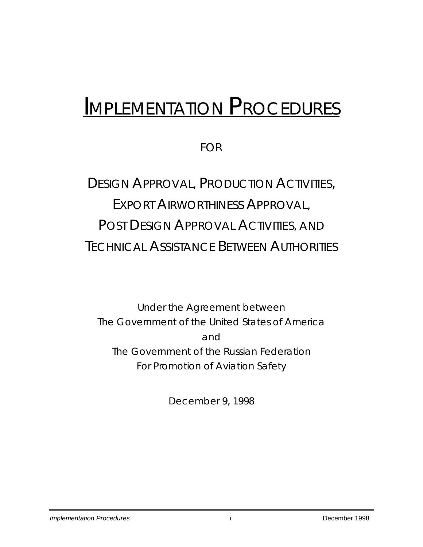# *IMPLEMENTATION PROCEDURES*

FOR

## DESIGN APPROVAL, PRODUCTION ACTIVITIES, EXPORT AIRWORTHINESS APPROVAL, POST DESIGN APPROVAL ACTIVITIES, AND TECHNICAL ASSISTANCE BETWEEN AUTHORITIES

Under the Agreement between The Government of the United States of America and The Government of the Russian Federation For Promotion of Aviation Safety

December 9, 1998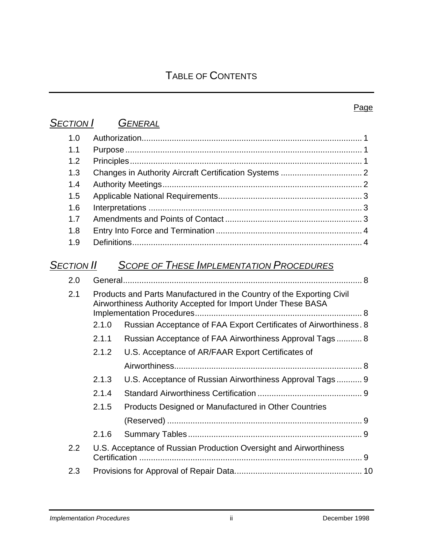### *SECTION I GENERAL*

| 1.0               |                                                                                                                                       |  |  |  |
|-------------------|---------------------------------------------------------------------------------------------------------------------------------------|--|--|--|
| 1.1               |                                                                                                                                       |  |  |  |
| 1.2               |                                                                                                                                       |  |  |  |
| 1.3               |                                                                                                                                       |  |  |  |
| 1.4               |                                                                                                                                       |  |  |  |
| 1.5               |                                                                                                                                       |  |  |  |
| 1.6               |                                                                                                                                       |  |  |  |
| 1.7               |                                                                                                                                       |  |  |  |
| 1.8               |                                                                                                                                       |  |  |  |
| 1.9               |                                                                                                                                       |  |  |  |
| <b>SECTION II</b> | <b>SCOPE OF THESE IMPLEMENTATION PROCEDURES</b>                                                                                       |  |  |  |
| 2.0               |                                                                                                                                       |  |  |  |
| 2.1               | Products and Parts Manufactured in the Country of the Exporting Civil<br>Airworthiness Authority Accepted for Import Under These BASA |  |  |  |

- 2.1.0 Russian Acceptance of FAA Export Certificates of Airworthiness. 8 2.1.1 Russian Acceptance of FAA Airworthiness Approval Tags ........... 8
	- 2.1.2 U.S. Acceptance of AR/FAAR Export Certificates of Airworthiness................................................................................. 8
	- 2.1.3 U.S. Acceptance of Russian Airworthiness Approval Tags ........... 9  $2.4.4$  Standard Airwarthiness Certification

| 2.1.5 Products Designed or Manufactured in Other Countries |  |
|------------------------------------------------------------|--|
|                                                            |  |

|  | 2.2 U.S. Acceptance of Russian Production Oversight and Airworthiness |  |
|--|-----------------------------------------------------------------------|--|
|  |                                                                       |  |
|  |                                                                       |  |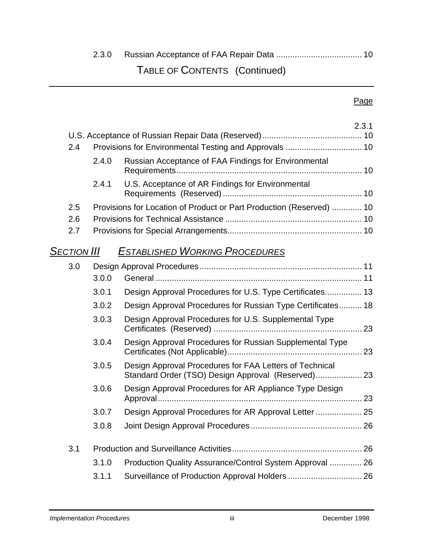## 2.3.0 Russian Acceptance of FAA Repair Data ..................................... 10 TABLE OF CONTENTS (Continued)

#### Page

|                    |       |                                                                                                               | 2.3.1 |
|--------------------|-------|---------------------------------------------------------------------------------------------------------------|-------|
|                    |       |                                                                                                               |       |
| 2.4                |       |                                                                                                               |       |
|                    | 2.4.0 | Russian Acceptance of FAA Findings for Environmental                                                          |       |
|                    |       |                                                                                                               |       |
|                    | 2.4.1 | U.S. Acceptance of AR Findings for Environmental                                                              |       |
| 2.5                |       | Provisions for Location of Product or Part Production (Reserved)  10                                          |       |
| 2.6                |       |                                                                                                               |       |
| 2.7                |       |                                                                                                               |       |
| <b>SECTION III</b> |       | <b>ESTABLISHED WORKING PROCEDURES</b>                                                                         |       |
| 3.0                |       |                                                                                                               |       |
|                    | 3.0.0 |                                                                                                               |       |
|                    | 3.0.1 | Design Approval Procedures for U.S. Type Certificates 13                                                      |       |
|                    | 3.0.2 | Design Approval Procedures for Russian Type Certificates 18                                                   |       |
|                    | 3.0.3 | Design Approval Procedures for U.S. Supplemental Type                                                         |       |
|                    | 3.0.4 | Design Approval Procedures for Russian Supplemental Type                                                      |       |
|                    | 3.0.5 | Design Approval Procedures for FAA Letters of Technical<br>Standard Order (TSO) Design Approval (Reserved) 23 |       |
|                    | 3.0.6 | Design Approval Procedures for AR Appliance Type Design                                                       |       |
|                    | 3.0.7 | Design Approval Procedures for AR Approval Letter  25                                                         |       |
|                    | 3.0.8 |                                                                                                               |       |
| 3.1                |       |                                                                                                               |       |
|                    | 3.1.0 | Production Quality Assurance/Control System Approval  26                                                      |       |
|                    | 3.1.1 | Surveillance of Production Approval Holders  26                                                               |       |
|                    |       |                                                                                                               |       |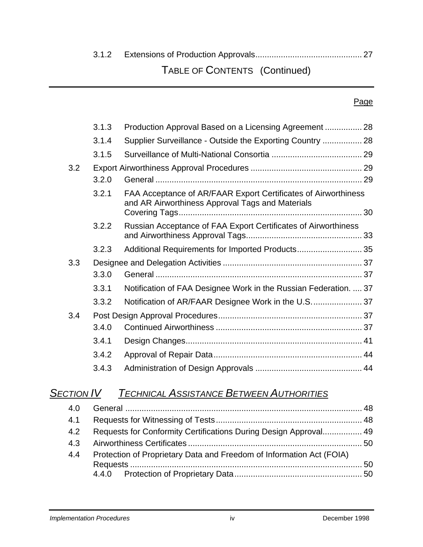### 3.1.2 Extensions of Production Approvals.............................................. 27

### TABLE OF CONTENTS (Continued)

#### Page

|     | 3.1.3 | Production Approval Based on a Licensing Agreement  28                                                             |  |
|-----|-------|--------------------------------------------------------------------------------------------------------------------|--|
|     | 3.1.4 | Supplier Surveillance - Outside the Exporting Country  28                                                          |  |
|     | 3.1.5 |                                                                                                                    |  |
| 3.2 |       |                                                                                                                    |  |
|     | 3.2.0 |                                                                                                                    |  |
|     | 3.2.1 | FAA Acceptance of AR/FAAR Export Certificates of Airworthiness<br>and AR Airworthiness Approval Tags and Materials |  |
|     | 3.2.2 | Russian Acceptance of FAA Export Certificates of Airworthiness                                                     |  |
|     | 3.2.3 | Additional Requirements for Imported Products 35                                                                   |  |
| 3.3 |       |                                                                                                                    |  |
|     | 3.3.0 |                                                                                                                    |  |
|     | 3.3.1 | Notification of FAA Designee Work in the Russian Federation.  37                                                   |  |
|     | 3.3.2 |                                                                                                                    |  |
| 3.4 |       |                                                                                                                    |  |
|     | 3.4.0 |                                                                                                                    |  |
|     | 3.4.1 |                                                                                                                    |  |
|     | 3.4.2 |                                                                                                                    |  |
|     | 3.4.3 |                                                                                                                    |  |

### *SECTION IV TECHNICAL ASSISTANCE BETWEEN AUTHORITIES*

| 4.0 |                                                                      |  |  |
|-----|----------------------------------------------------------------------|--|--|
| 4.1 |                                                                      |  |  |
| 4.2 | Requests for Conformity Certifications During Design Approval 49     |  |  |
| 4.3 |                                                                      |  |  |
| 4.4 | Protection of Proprietary Data and Freedom of Information Act (FOIA) |  |  |
|     |                                                                      |  |  |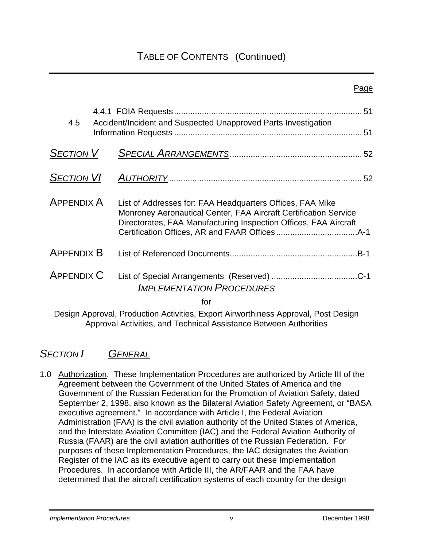### TABLE OF CONTENTS (Continued)

| 4.5               | Accident/Incident and Suspected Unapproved Parts Investigation                                                                                                                                    |  |
|-------------------|---------------------------------------------------------------------------------------------------------------------------------------------------------------------------------------------------|--|
| <b>SECTION V</b>  |                                                                                                                                                                                                   |  |
| <b>SECTION VI</b> |                                                                                                                                                                                                   |  |
| <b>APPENDIX A</b> | List of Addresses for: FAA Headquarters Offices, FAA Mike<br>Monroney Aeronautical Center, FAA Aircraft Certification Service<br>Directorates, FAA Manufacturing Inspection Offices, FAA Aircraft |  |
| <b>APPENDIX B</b> |                                                                                                                                                                                                   |  |
| <b>APPENDIX C</b> | <b>IMPLEMENTATION PROCEDURES</b><br>for                                                                                                                                                           |  |

Design Approval, Production Activities, Export Airworthiness Approval, Post Design Approval Activities, and Technical Assistance Between Authorities

### *SECTION I GENERAL*

1.0 Authorization. These Implementation Procedures are authorized by Article III of the Agreement between the Government of the United States of America and the Government of the Russian Federation for the Promotion of Aviation Safety, dated September 2, 1998, also known as the Bilateral Aviation Safety Agreement, or "BASA executive agreement." In accordance with Article I, the Federal Aviation Administration (FAA) is the civil aviation authority of the United States of America, and the Interstate Aviation Committee (IAC) and the Federal Aviation Authority of Russia (FAAR) are the civil aviation authorities of the Russian Federation. For purposes of these Implementation Procedures, the IAC designates the Aviation Register of the IAC as its executive agent to carry out these Implementation Procedures. In accordance with Article III, the AR/FAAR and the FAA have determined that the aircraft certification systems of each country for the design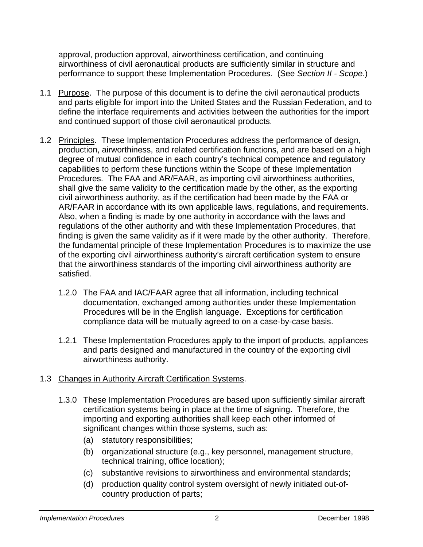approval, production approval, airworthiness certification, and continuing airworthiness of civil aeronautical products are sufficiently similar in structure and performance to support these Implementation Procedures. (See *Section II - Scope*.)

- 1.1 Purpose. The purpose of this document is to define the civil aeronautical products and parts eligible for import into the United States and the Russian Federation, and to define the interface requirements and activities between the authorities for the import and continued support of those civil aeronautical products.
- 1.2 Principles. These Implementation Procedures address the performance of design, production, airworthiness, and related certification functions, and are based on a high degree of mutual confidence in each country's technical competence and regulatory capabilities to perform these functions within the Scope of these Implementation Procedures. The FAA and AR/FAAR, as importing civil airworthiness authorities, shall give the same validity to the certification made by the other, as the exporting civil airworthiness authority, as if the certification had been made by the FAA or AR/FAAR in accordance with its own applicable laws, regulations, and requirements. Also, when a finding is made by one authority in accordance with the laws and regulations of the other authority and with these Implementation Procedures, that finding is given the same validity as if it were made by the other authority. Therefore, the fundamental principle of these Implementation Procedures is to maximize the use of the exporting civil airworthiness authority's aircraft certification system to ensure that the airworthiness standards of the importing civil airworthiness authority are satisfied.
	- 1.2.0 The FAA and IAC/FAAR agree that all information, including technical documentation, exchanged among authorities under these Implementation Procedures will be in the English language. Exceptions for certification compliance data will be mutually agreed to on a case-by-case basis.
	- 1.2.1 These Implementation Procedures apply to the import of products, appliances and parts designed and manufactured in the country of the exporting civil airworthiness authority.

#### 1.3 Changes in Authority Aircraft Certification Systems.

- 1.3.0 These Implementation Procedures are based upon sufficiently similar aircraft certification systems being in place at the time of signing. Therefore, the importing and exporting authorities shall keep each other informed of significant changes within those systems, such as:
	- (a) statutory responsibilities;
	- (b) organizational structure (e.g., key personnel, management structure, technical training, office location);
	- (c) substantive revisions to airworthiness and environmental standards;
	- (d) production quality control system oversight of newly initiated out-ofcountry production of parts;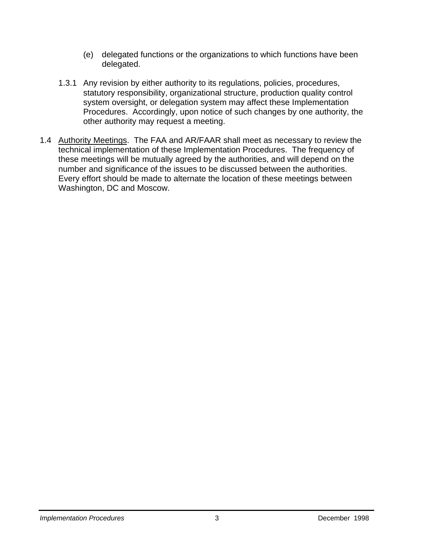- (e) delegated functions or the organizations to which functions have been delegated.
- 1.3.1 Any revision by either authority to its regulations, policies, procedures, statutory responsibility, organizational structure, production quality control system oversight, or delegation system may affect these Implementation Procedures. Accordingly, upon notice of such changes by one authority, the other authority may request a meeting.
- 1.4 Authority Meetings. The FAA and AR/FAAR shall meet as necessary to review the technical implementation of these Implementation Procedures. The frequency of these meetings will be mutually agreed by the authorities, and will depend on the number and significance of the issues to be discussed between the authorities. Every effort should be made to alternate the location of these meetings between Washington, DC and Moscow.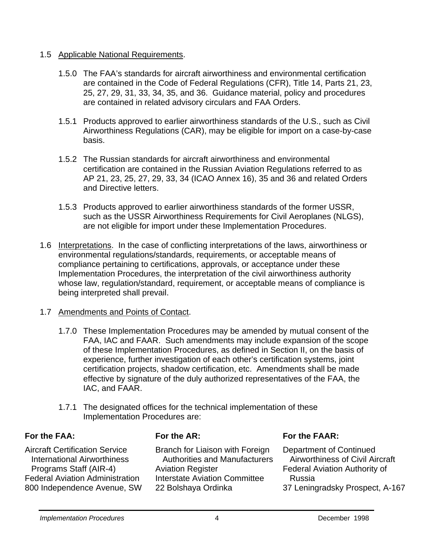#### 1.5 Applicable National Requirements.

- 1.5.0 The FAA's standards for aircraft airworthiness and environmental certification are contained in the Code of Federal Regulations (CFR), Title 14, Parts 21, 23, 25, 27, 29, 31, 33, 34, 35, and 36. Guidance material, policy and procedures are contained in related advisory circulars and FAA Orders.
- 1.5.1 Products approved to earlier airworthiness standards of the U.S., such as Civil Airworthiness Regulations (CAR), may be eligible for import on a case-by-case basis.
- 1.5.2 The Russian standards for aircraft airworthiness and environmental certification are contained in the Russian Aviation Regulations referred to as AP 21, 23, 25, 27, 29, 33, 34 (ICAO Annex 16), 35 and 36 and related Orders and Directive letters.
- 1.5.3 Products approved to earlier airworthiness standards of the former USSR, such as the USSR Airworthiness Requirements for Civil Aeroplanes (NLGS), are not eligible for import under these Implementation Procedures.
- 1.6 Interpretations. In the case of conflicting interpretations of the laws, airworthiness or environmental regulations/standards, requirements, or acceptable means of compliance pertaining to certifications, approvals, or acceptance under these Implementation Procedures, the interpretation of the civil airworthiness authority whose law, regulation/standard, requirement, or acceptable means of compliance is being interpreted shall prevail.
- 1.7 Amendments and Points of Contact.
	- 1.7.0 These Implementation Procedures may be amended by mutual consent of the FAA, IAC and FAAR. Such amendments may include expansion of the scope of these Implementation Procedures, as defined in Section II, on the basis of experience, further investigation of each other's certification systems, joint certification projects, shadow certification, etc. Amendments shall be made effective by signature of the duly authorized representatives of the FAA, the IAC, and FAAR.
	- 1.7.1 The designated offices for the technical implementation of these Implementation Procedures are:

#### **For the FAA:**

Aircraft Certification Service International Airworthiness Programs Staff (AIR-4) Federal Aviation Administration 800 Independence Avenue, SW **For the AR:**

Branch for Liaison with Foreign Authorities and Manufacturers Aviation Register Interstate Aviation Committee 22 Bolshaya Ordinka

**For the FAAR:** 

Department of Continued Airworthiness of Civil Aircraft Federal Aviation Authority of Russia 37 Leningradsky Prospect, A-167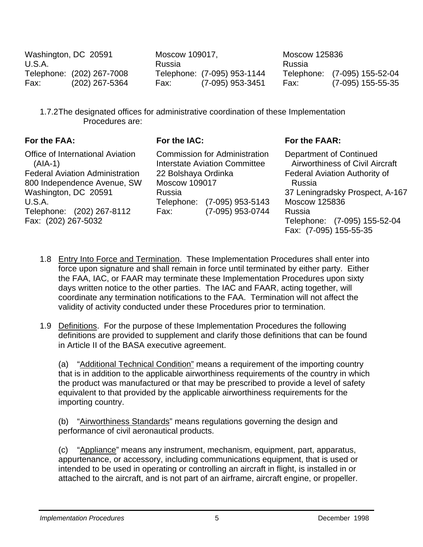| Washington, DC 20591<br>U.S.A. |                                             | Moscow 109017,<br>Russia |                                                 | Moscow 125836<br>Russia |                                                   |
|--------------------------------|---------------------------------------------|--------------------------|-------------------------------------------------|-------------------------|---------------------------------------------------|
| Fax:                           | Telephone: (202) 267-7008<br>(202) 267-5364 | Fax:                     | Telephone: (7-095) 953-1144<br>(7-095) 953-3451 | Fax:                    | Telephone: (7-095) 155-52-04<br>(7-095) 155-55-35 |

1.7.2 The designated offices for administrative coordination of these Implementation Procedures are:

#### **For the FAA:**

Office of International Aviation (AIA-1) Federal Aviation Administration 800 Independence Avenue, SW Washington, DC 20591 U.S.A. Telephone: (202) 267-8112 Fax: (202) 267-5032

#### **For the IAC:**

Commission for Administration Interstate Aviation Committee 22 Bolshaya Ordinka Moscow 109017 Russia Telephone: (7-095) 953-5143 Fax: (7-095) 953-0744

#### **For the FAAR:**

Department of Continued Airworthiness of Civil Aircraft Federal Aviation Authority of Russia 37 Leningradsky Prospect, A-167 Moscow 125836 Russia Telephone: (7-095) 155-52-04 Fax: (7-095) 155-55-35

- 1.8 Entry Into Force and Termination. These Implementation Procedures shall enter into force upon signature and shall remain in force until terminated by either party. Either the FAA, IAC, or FAAR may terminate these Implementation Procedures upon sixty days written notice to the other parties. The IAC and FAAR, acting together, will coordinate any termination notifications to the FAA. Termination will not affect the validity of activity conducted under these Procedures prior to termination.
- 1.9 Definitions. For the purpose of these Implementation Procedures the following definitions are provided to supplement and clarify those definitions that can be found in Article II of the BASA executive agreement.

(a) "Additional Technical Condition" means a requirement of the importing country that is in addition to the applicable airworthiness requirements of the country in which the product was manufactured or that may be prescribed to provide a level of safety equivalent to that provided by the applicable airworthiness requirements for the importing country.

 (b) "Airworthiness Standards" means regulations governing the design and performance of civil aeronautical products.

 (c) "Appliance" means any instrument, mechanism, equipment, part, apparatus, appurtenance, or accessory, including communications equipment, that is used or intended to be used in operating or controlling an aircraft in flight, is installed in or attached to the aircraft, and is not part of an airframe, aircraft engine, or propeller.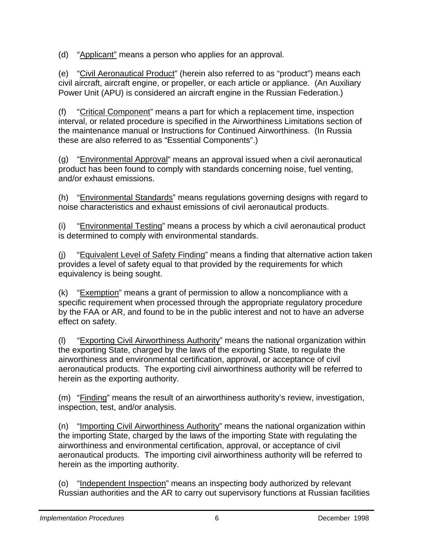(d) "Applicant" means a person who applies for an approval.

(e) "Civil Aeronautical Product" (herein also referred to as "product") means each civil aircraft, aircraft engine, or propeller, or each article or appliance. (An Auxiliary Power Unit (APU) is considered an aircraft engine in the Russian Federation.)

 (f) "Critical Component" means a part for which a replacement time, inspection interval, or related procedure is specified in the Airworthiness Limitations section of the maintenance manual or Instructions for Continued Airworthiness. (In Russia these are also referred to as "Essential Components".)

 (g) "Environmental Approval" means an approval issued when a civil aeronautical product has been found to comply with standards concerning noise, fuel venting, and/or exhaust emissions.

 (h) "Environmental Standards" means regulations governing designs with regard to noise characteristics and exhaust emissions of civil aeronautical products.

(i) "Environmental Testing" means a process by which a civil aeronautical product is determined to comply with environmental standards.

(j) "Equivalent Level of Safety Finding" means a finding that alternative action taken provides a level of safety equal to that provided by the requirements for which equivalency is being sought.

 (k) "Exemption" means a grant of permission to allow a noncompliance with a specific requirement when processed through the appropriate regulatory procedure by the FAA or AR, and found to be in the public interest and not to have an adverse effect on safety.

(l) "Exporting Civil Airworthiness Authority" means the national organization within the exporting State, charged by the laws of the exporting State, to regulate the airworthiness and environmental certification, approval, or acceptance of civil aeronautical products. The exporting civil airworthiness authority will be referred to herein as the exporting authority.

 (m) "Finding" means the result of an airworthiness authority's review, investigation, inspection, test, and/or analysis.

(n) "Importing Civil Airworthiness Authority" means the national organization within the importing State, charged by the laws of the importing State with regulating the airworthiness and environmental certification, approval, or acceptance of civil aeronautical products. The importing civil airworthiness authority will be referred to herein as the importing authority.

 (o) "Independent Inspection" means an inspecting body authorized by relevant Russian authorities and the AR to carry out supervisory functions at Russian facilities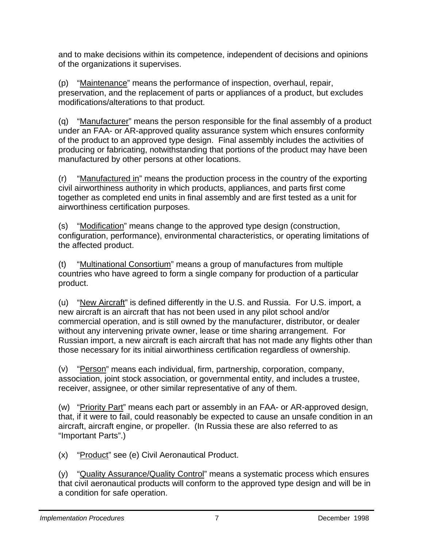and to make decisions within its competence, independent of decisions and opinions of the organizations it supervises.

 (p) "Maintenance" means the performance of inspection, overhaul, repair, preservation, and the replacement of parts or appliances of a product, but excludes modifications/alterations to that product.

 (q) "Manufacturer" means the person responsible for the final assembly of a product under an FAA- or AR-approved quality assurance system which ensures conformity of the product to an approved type design. Final assembly includes the activities of producing or fabricating, notwithstanding that portions of the product may have been manufactured by other persons at other locations.

 (r) "Manufactured in" means the production process in the country of the exporting civil airworthiness authority in which products, appliances, and parts first come together as completed end units in final assembly and are first tested as a unit for airworthiness certification purposes.

 (s) "Modification" means change to the approved type design (construction, configuration, performance), environmental characteristics, or operating limitations of the affected product.

 (t) "Multinational Consortium" means a group of manufactures from multiple countries who have agreed to form a single company for production of a particular product.

 (u) "New Aircraft" is defined differently in the U.S. and Russia. For U.S. import, a new aircraft is an aircraft that has not been used in any pilot school and/or commercial operation, and is still owned by the manufacturer, distributor, or dealer without any intervening private owner, lease or time sharing arrangement. For Russian import, a new aircraft is each aircraft that has not made any flights other than those necessary for its initial airworthiness certification regardless of ownership.

 (v) "Person" means each individual, firm, partnership, corporation, company, association, joint stock association, or governmental entity, and includes a trustee, receiver, assignee, or other similar representative of any of them.

 (w) "Priority Part" means each part or assembly in an FAA- or AR-approved design, that, if it were to fail, could reasonably be expected to cause an unsafe condition in an aircraft, aircraft engine, or propeller. (In Russia these are also referred to as "Important Parts".)

(x) "Product" see (e) Civil Aeronautical Product.

(y) "Quality Assurance/Quality Control" means a systematic process which ensures that civil aeronautical products will conform to the approved type design and will be in a condition for safe operation.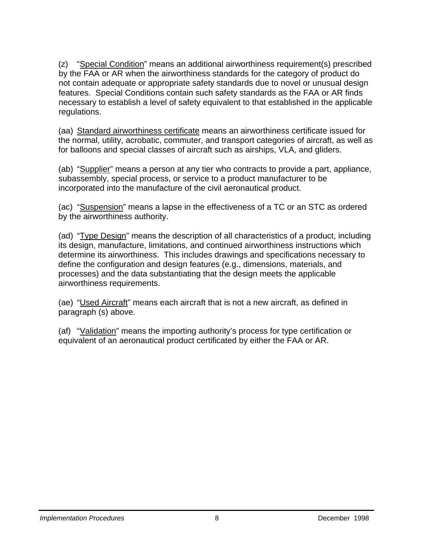(z) "Special Condition" means an additional airworthiness requirement(s) prescribed by the FAA or AR when the airworthiness standards for the category of product do not contain adequate or appropriate safety standards due to novel or unusual design features. Special Conditions contain such safety standards as the FAA or AR finds necessary to establish a level of safety equivalent to that established in the applicable regulations.

(aa) Standard airworthiness certificate means an airworthiness certificate issued for the normal, utility, acrobatic, commuter, and transport categories of aircraft, as well as for balloons and special classes of aircraft such as airships, VLA, and gliders.

 (ab) "Supplier" means a person at any tier who contracts to provide a part, appliance, subassembly, special process, or service to a product manufacturer to be incorporated into the manufacture of the civil aeronautical product.

 (ac) "Suspension" means a lapse in the effectiveness of a TC or an STC as ordered by the airworthiness authority.

 (ad) "Type Design" means the description of all characteristics of a product, including its design, manufacture, limitations, and continued airworthiness instructions which determine its airworthiness. This includes drawings and specifications necessary to define the configuration and design features (e.g., dimensions, materials, and processes) and the data substantiating that the design meets the applicable airworthiness requirements.

 (ae) "Used Aircraft" means each aircraft that is not a new aircraft, as defined in paragraph (s) above.

 (af) "Validation" means the importing authority's process for type certification or equivalent of an aeronautical product certificated by either the FAA or AR.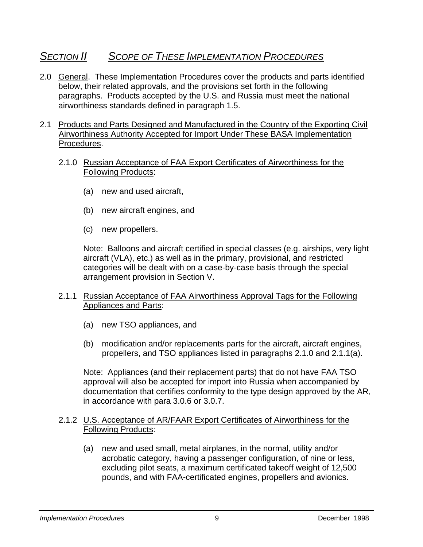### *SECTION II SCOPE OF THESE IMPLEMENTATION PROCEDURES*

- 2.0 General. These Implementation Procedures cover the products and parts identified below, their related approvals, and the provisions set forth in the following paragraphs. Products accepted by the U.S. and Russia must meet the national airworthiness standards defined in paragraph 1.5.
- 2.1 Products and Parts Designed and Manufactured in the Country of the Exporting Civil Airworthiness Authority Accepted for Import Under These BASA Implementation Procedures.
	- 2.1.0 Russian Acceptance of FAA Export Certificates of Airworthiness for the Following Products:
		- (a) new and used aircraft,
		- (b) new aircraft engines, and
		- (c) new propellers.

Note: Balloons and aircraft certified in special classes (e.g. airships, very light aircraft (VLA), etc.) as well as in the primary, provisional, and restricted categories will be dealt with on a case-by-case basis through the special arrangement provision in Section V.

- 2.1.1 Russian Acceptance of FAA Airworthiness Approval Tags for the Following Appliances and Parts:
	- (a) new TSO appliances, and
	- (b) modification and/or replacements parts for the aircraft, aircraft engines, propellers, and TSO appliances listed in paragraphs 2.1.0 and 2.1.1(a).

Note: Appliances (and their replacement parts) that do not have FAA TSO approval will also be accepted for import into Russia when accompanied by documentation that certifies conformity to the type design approved by the AR, in accordance with para 3.0.6 or 3.0.7.

#### 2.1.2 U.S. Acceptance of AR/FAAR Export Certificates of Airworthiness for the Following Products:

(a) new and used small, metal airplanes, in the normal, utility and/or acrobatic category, having a passenger configuration, of nine or less, excluding pilot seats, a maximum certificated takeoff weight of 12,500 pounds, and with FAA-certificated engines, propellers and avionics.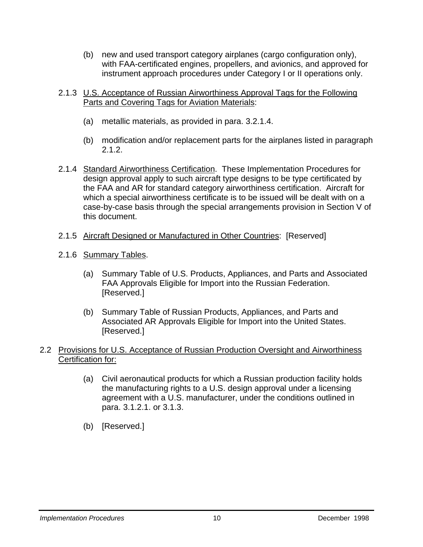- (b) new and used transport category airplanes (cargo configuration only), with FAA-certificated engines, propellers, and avionics, and approved for instrument approach procedures under Category I or II operations only.
- 2.1.3 U.S. Acceptance of Russian Airworthiness Approval Tags for the Following Parts and Covering Tags for Aviation Materials:
	- (a) metallic materials, as provided in para. 3.2.1.4.
	- (b) modification and/or replacement parts for the airplanes listed in paragraph 2.1.2.
- 2.1.4 Standard Airworthiness Certification. These Implementation Procedures for design approval apply to such aircraft type designs to be type certificated by the FAA and AR for standard category airworthiness certification. Aircraft for which a special airworthiness certificate is to be issued will be dealt with on a case-by-case basis through the special arrangements provision in Section V of this document.
- 2.1.5 Aircraft Designed or Manufactured in Other Countries: [Reserved]
- 2.1.6 Summary Tables.
	- (a) Summary Table of U.S. Products, Appliances, and Parts and Associated FAA Approvals Eligible for Import into the Russian Federation. [Reserved.]
	- (b) Summary Table of Russian Products, Appliances, and Parts and Associated AR Approvals Eligible for Import into the United States. [Reserved.]

#### 2.2 Provisions for U.S. Acceptance of Russian Production Oversight and Airworthiness Certification for:

- (a) Civil aeronautical products for which a Russian production facility holds the manufacturing rights to a U.S. design approval under a licensing agreement with a U.S. manufacturer, under the conditions outlined in para. 3.1.2.1. or 3.1.3.
- (b) [Reserved.]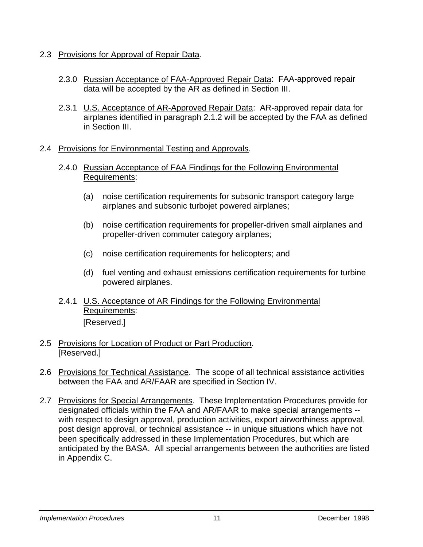- 2.3 Provisions for Approval of Repair Data.
	- 2.3.0 Russian Acceptance of FAA-Approved Repair Data: FAA-approved repair data will be accepted by the AR as defined in Section III.
	- 2.3.1 U.S. Acceptance of AR-Approved Repair Data: AR-approved repair data for airplanes identified in paragraph 2.1.2 will be accepted by the FAA as defined in Section III.
- 2.4 Provisions for Environmental Testing and Approvals.
	- 2.4.0 Russian Acceptance of FAA Findings for the Following Environmental Requirements:
		- (a) noise certification requirements for subsonic transport category large airplanes and subsonic turbojet powered airplanes;
		- (b) noise certification requirements for propeller-driven small airplanes and propeller-driven commuter category airplanes;
		- (c) noise certification requirements for helicopters; and
		- (d) fuel venting and exhaust emissions certification requirements for turbine powered airplanes.
	- 2.4.1 U.S. Acceptance of AR Findings for the Following Environmental Requirements: [Reserved.]
- 2.5 Provisions for Location of Product or Part Production. [Reserved.]
- 2.6 Provisions for Technical Assistance. The scope of all technical assistance activities between the FAA and AR/FAAR are specified in Section IV.
- 2.7 Provisions for Special Arrangements. These Implementation Procedures provide for designated officials within the FAA and AR/FAAR to make special arrangements - with respect to design approval, production activities, export airworthiness approval, post design approval, or technical assistance -- in unique situations which have not been specifically addressed in these Implementation Procedures, but which are anticipated by the BASA. All special arrangements between the authorities are listed in Appendix C.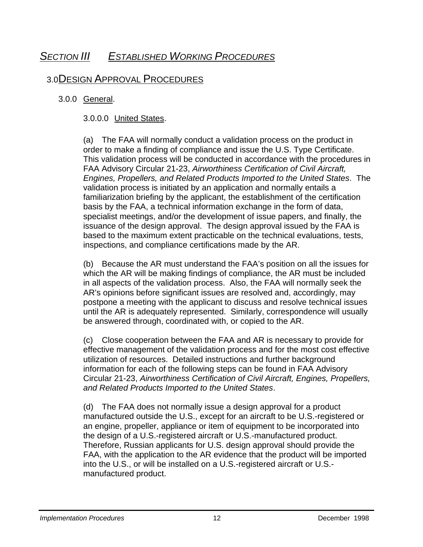### *SECTION III ESTABLISHED WORKING PROCEDURES*

### 3.0 DESIGN APPROVAL PROCEDURES

#### 3.0.0 General.

#### 3.0.0.0 United States.

(a) The FAA will normally conduct a validation process on the product in order to make a finding of compliance and issue the U.S. Type Certificate. This validation process will be conducted in accordance with the procedures in FAA Advisory Circular 21-23, *Airworthiness Certification of Civil Aircraft, Engines, Propellers, and Related Products Imported to the United States*. The validation process is initiated by an application and normally entails a familiarization briefing by the applicant, the establishment of the certification basis by the FAA, a technical information exchange in the form of data, specialist meetings, and/or the development of issue papers, and finally, the issuance of the design approval. The design approval issued by the FAA is based to the maximum extent practicable on the technical evaluations, tests, inspections, and compliance certifications made by the AR.

(b) Because the AR must understand the FAA's position on all the issues for which the AR will be making findings of compliance, the AR must be included in all aspects of the validation process. Also, the FAA will normally seek the AR's opinions before significant issues are resolved and, accordingly, may postpone a meeting with the applicant to discuss and resolve technical issues until the AR is adequately represented. Similarly, correspondence will usually be answered through, coordinated with, or copied to the AR.

(c) Close cooperation between the FAA and AR is necessary to provide for effective management of the validation process and for the most cost effective utilization of resources. Detailed instructions and further background information for each of the following steps can be found in FAA Advisory Circular 21-23, *Airworthiness Certification of Civil Aircraft, Engines, Propellers, and Related Products Imported to the United States*.

(d) The FAA does not normally issue a design approval for a product manufactured outside the U.S., except for an aircraft to be U.S.-registered or an engine, propeller, appliance or item of equipment to be incorporated into the design of a U.S.-registered aircraft or U.S.-manufactured product. Therefore, Russian applicants for U.S. design approval should provide the FAA, with the application to the AR evidence that the product will be imported into the U.S., or will be installed on a U.S.-registered aircraft or U.S. manufactured product.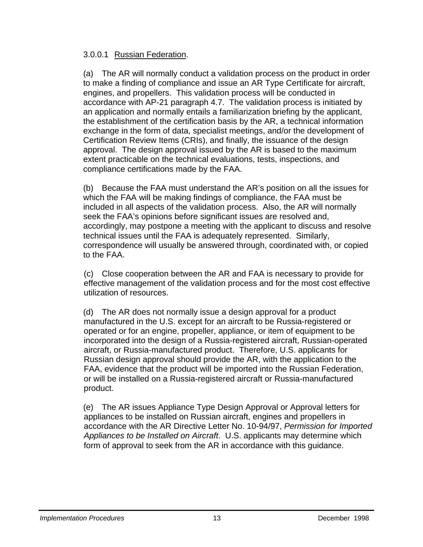#### 3.0.0.1 Russian Federation.

(a) The AR will normally conduct a validation process on the product in order to make a finding of compliance and issue an AR Type Certificate for aircraft, engines, and propellers. This validation process will be conducted in accordance with AP-21 paragraph 4.7. The validation process is initiated by an application and normally entails a familiarization briefing by the applicant, the establishment of the certification basis by the AR, a technical information exchange in the form of data, specialist meetings, and/or the development of Certification Review Items (CRIs), and finally, the issuance of the design approval. The design approval issued by the AR is based to the maximum extent practicable on the technical evaluations, tests, inspections, and compliance certifications made by the FAA.

(b) Because the FAA must understand the AR's position on all the issues for which the FAA will be making findings of compliance, the FAA must be included in all aspects of the validation process. Also, the AR will normally seek the FAA's opinions before significant issues are resolved and, accordingly, may postpone a meeting with the applicant to discuss and resolve technical issues until the FAA is adequately represented. Similarly, correspondence will usually be answered through, coordinated with, or copied to the FAA.

(c) Close cooperation between the AR and FAA is necessary to provide for effective management of the validation process and for the most cost effective utilization of resources.

(d) The AR does not normally issue a design approval for a product manufactured in the U.S. except for an aircraft to be Russia-registered or operated or for an engine, propeller, appliance, or item of equipment to be incorporated into the design of a Russia-registered aircraft, Russian-operated aircraft, or Russia-manufactured product. Therefore, U.S. applicants for Russian design approval should provide the AR, with the application to the FAA, evidence that the product will be imported into the Russian Federation, or will be installed on a Russia-registered aircraft or Russia-manufactured product.

(e) The AR issues Appliance Type Design Approval or Approval letters for appliances to be installed on Russian aircraft, engines and propellers in accordance with the AR Directive Letter No. 10-94/97, *Permission for Imported Appliances to be Installed on Aircraft*. U.S. applicants may determine which form of approval to seek from the AR in accordance with this guidance.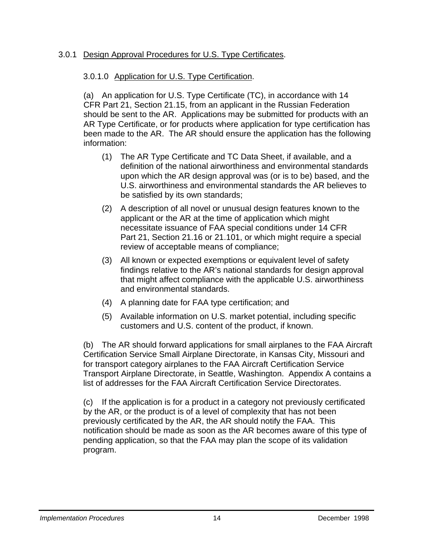#### 3.0.1 Design Approval Procedures for U.S. Type Certificates.

#### 3.0.1.0 Application for U.S. Type Certification.

(a) An application for U.S. Type Certificate (TC), in accordance with 14 CFR Part 21, Section 21.15, from an applicant in the Russian Federation should be sent to the AR. Applications may be submitted for products with an AR Type Certificate, or for products where application for type certification has been made to the AR. The AR should ensure the application has the following information:

- (1) The AR Type Certificate and TC Data Sheet, if available, and a definition of the national airworthiness and environmental standards upon which the AR design approval was (or is to be) based, and the U.S. airworthiness and environmental standards the AR believes to be satisfied by its own standards;
- (2) A description of all novel or unusual design features known to the applicant or the AR at the time of application which might necessitate issuance of FAA special conditions under 14 CFR Part 21, Section 21.16 or 21.101, or which might require a special review of acceptable means of compliance;
- (3) All known or expected exemptions or equivalent level of safety findings relative to the AR's national standards for design approval that might affect compliance with the applicable U.S. airworthiness and environmental standards.
- (4) A planning date for FAA type certification; and
- (5) Available information on U.S. market potential, including specific customers and U.S. content of the product, if known.

(b) The AR should forward applications for small airplanes to the FAA Aircraft Certification Service Small Airplane Directorate, in Kansas City, Missouri and for transport category airplanes to the FAA Aircraft Certification Service Transport Airplane Directorate, in Seattle, Washington. Appendix A contains a list of addresses for the FAA Aircraft Certification Service Directorates.

(c) If the application is for a product in a category not previously certificated by the AR, or the product is of a level of complexity that has not been previously certificated by the AR, the AR should notify the FAA. This notification should be made as soon as the AR becomes aware of this type of pending application, so that the FAA may plan the scope of its validation program.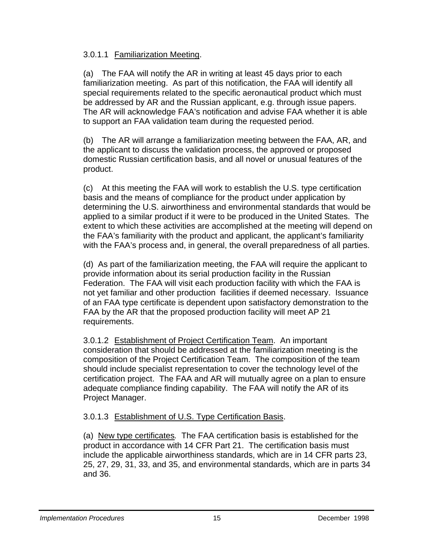#### 3.0.1.1 Familiarization Meeting.

(a) The FAA will notify the AR in writing at least 45 days prior to each familiarization meeting. As part of this notification, the FAA will identify all special requirements related to the specific aeronautical product which must be addressed by AR and the Russian applicant, e.g. through issue papers. The AR will acknowledge FAA's notification and advise FAA whether it is able to support an FAA validation team during the requested period.

(b) The AR will arrange a familiarization meeting between the FAA, AR, and the applicant to discuss the validation process, the approved or proposed domestic Russian certification basis, and all novel or unusual features of the product.

(c) At this meeting the FAA will work to establish the U.S. type certification basis and the means of compliance for the product under application by determining the U.S. airworthiness and environmental standards that would be applied to a similar product if it were to be produced in the United States. The extent to which these activities are accomplished at the meeting will depend on the FAA's familiarity with the product and applicant, the applicant's familiarity with the FAA's process and, in general, the overall preparedness of all parties.

(d) As part of the familiarization meeting, the FAA will require the applicant to provide information about its serial production facility in the Russian Federation. The FAA will visit each production facility with which the FAA is not yet familiar and other production facilities if deemed necessary. Issuance of an FAA type certificate is dependent upon satisfactory demonstration to the FAA by the AR that the proposed production facility will meet AP 21 requirements.

 3.0.1.2 Establishment of Project Certification Team. An important consideration that should be addressed at the familiarization meeting is the composition of the Project Certification Team. The composition of the team should include specialist representation to cover the technology level of the certification project. The FAA and AR will mutually agree on a plan to ensure adequate compliance finding capability. The FAA will notify the AR of its Project Manager.

#### 3.0.1.3 Establishment of U.S. Type Certification Basis.

(a) New type certificates*.* The FAA certification basis is established for the product in accordance with 14 CFR Part 21. The certification basis must include the applicable airworthiness standards, which are in 14 CFR parts 23, 25, 27, 29, 31, 33, and 35, and environmental standards, which are in parts 34 and 36.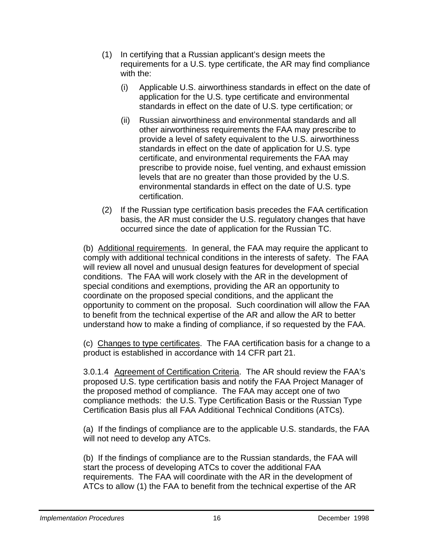- (1) In certifying that a Russian applicant's design meets the requirements for a U.S. type certificate, the AR may find compliance with the:
	- (i) Applicable U.S. airworthiness standards in effect on the date of application for the U.S. type certificate and environmental standards in effect on the date of U.S. type certification; or
	- (ii) Russian airworthiness and environmental standards and all other airworthiness requirements the FAA may prescribe to provide a level of safety equivalent to the U.S. airworthiness standards in effect on the date of application for U.S. type certificate, and environmental requirements the FAA may prescribe to provide noise, fuel venting, and exhaust emission levels that are no greater than those provided by the U.S. environmental standards in effect on the date of U.S. type certification.
- (2) If the Russian type certification basis precedes the FAA certification basis, the AR must consider the U.S. regulatory changes that have occurred since the date of application for the Russian TC.

(b) Additional requirements. In general, the FAA may require the applicant to comply with additional technical conditions in the interests of safety. The FAA will review all novel and unusual design features for development of special conditions. The FAA will work closely with the AR in the development of special conditions and exemptions, providing the AR an opportunity to coordinate on the proposed special conditions, and the applicant the opportunity to comment on the proposal. Such coordination will allow the FAA to benefit from the technical expertise of the AR and allow the AR to better understand how to make a finding of compliance, if so requested by the FAA.

(c) Changes to type certificates. The FAA certification basis for a change to a product is established in accordance with 14 CFR part 21.

 3.0.1.4 Agreement of Certification Criteria. The AR should review the FAA's proposed U.S. type certification basis and notify the FAA Project Manager of the proposed method of compliance. The FAA may accept one of two compliance methods: the U.S. Type Certification Basis or the Russian Type Certification Basis plus all FAA Additional Technical Conditions (ATCs).

(a) If the findings of compliance are to the applicable U.S. standards, the FAA will not need to develop any ATCs.

(b) If the findings of compliance are to the Russian standards, the FAA will start the process of developing ATCs to cover the additional FAA requirements. The FAA will coordinate with the AR in the development of ATCs to allow (1) the FAA to benefit from the technical expertise of the AR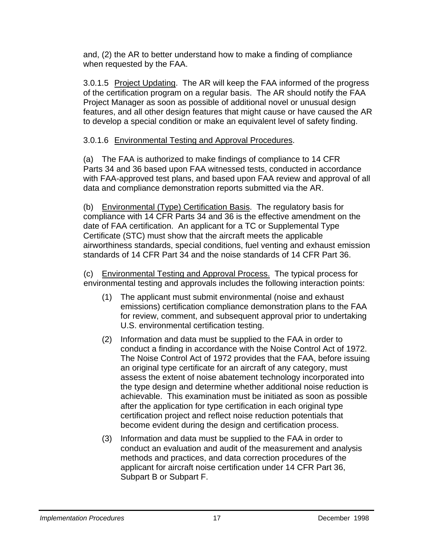and, (2) the AR to better understand how to make a finding of compliance when requested by the FAA.

3.0.1.5 Project Updating. The AR will keep the FAA informed of the progress of the certification program on a regular basis. The AR should notify the FAA Project Manager as soon as possible of additional novel or unusual design features, and all other design features that might cause or have caused the AR to develop a special condition or make an equivalent level of safety finding.

#### 3.0.1.6 Environmental Testing and Approval Procedures.

(a) The FAA is authorized to make findings of compliance to 14 CFR Parts 34 and 36 based upon FAA witnessed tests, conducted in accordance with FAA-approved test plans, and based upon FAA review and approval of all data and compliance demonstration reports submitted via the AR.

(b) Environmental (Type) Certification Basis. The regulatory basis for compliance with 14 CFR Parts 34 and 36 is the effective amendment on the date of FAA certification. An applicant for a TC or Supplemental Type Certificate (STC) must show that the aircraft meets the applicable airworthiness standards, special conditions, fuel venting and exhaust emission standards of 14 CFR Part 34 and the noise standards of 14 CFR Part 36.

(c) Environmental Testing and Approval Process. The typical process for environmental testing and approvals includes the following interaction points:

- (1) The applicant must submit environmental (noise and exhaust emissions) certification compliance demonstration plans to the FAA for review, comment, and subsequent approval prior to undertaking U.S. environmental certification testing.
- (2) Information and data must be supplied to the FAA in order to conduct a finding in accordance with the Noise Control Act of 1972. The Noise Control Act of 1972 provides that the FAA, before issuing an original type certificate for an aircraft of any category, must assess the extent of noise abatement technology incorporated into the type design and determine whether additional noise reduction is achievable. This examination must be initiated as soon as possible after the application for type certification in each original type certification project and reflect noise reduction potentials that become evident during the design and certification process.
- (3) Information and data must be supplied to the FAA in order to conduct an evaluation and audit of the measurement and analysis methods and practices, and data correction procedures of the applicant for aircraft noise certification under 14 CFR Part 36, Subpart B or Subpart F.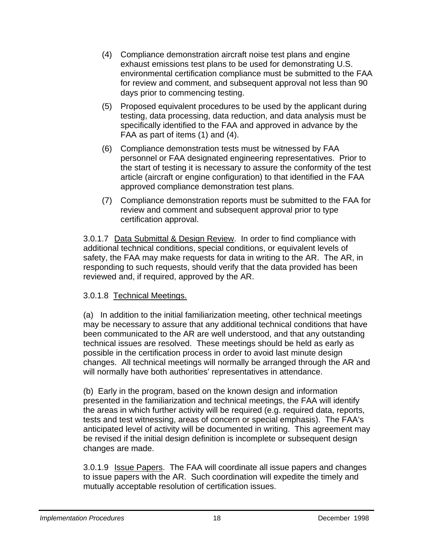- (4) Compliance demonstration aircraft noise test plans and engine exhaust emissions test plans to be used for demonstrating U.S. environmental certification compliance must be submitted to the FAA for review and comment, and subsequent approval not less than 90 days prior to commencing testing.
- (5) Proposed equivalent procedures to be used by the applicant during testing, data processing, data reduction, and data analysis must be specifically identified to the FAA and approved in advance by the FAA as part of items (1) and (4).
- (6) Compliance demonstration tests must be witnessed by FAA personnel or FAA designated engineering representatives. Prior to the start of testing it is necessary to assure the conformity of the test article (aircraft or engine configuration) to that identified in the FAA approved compliance demonstration test plans.
- (7) Compliance demonstration reports must be submitted to the FAA for review and comment and subsequent approval prior to type certification approval.

3.0.1.7 Data Submittal & Design Review. In order to find compliance with additional technical conditions, special conditions, or equivalent levels of safety, the FAA may make requests for data in writing to the AR. The AR, in responding to such requests, should verify that the data provided has been reviewed and, if required, approved by the AR.

#### 3.0.1.8 Technical Meetings.

(a) In addition to the initial familiarization meeting, other technical meetings may be necessary to assure that any additional technical conditions that have been communicated to the AR are well understood, and that any outstanding technical issues are resolved. These meetings should be held as early as possible in the certification process in order to avoid last minute design changes. All technical meetings will normally be arranged through the AR and will normally have both authorities' representatives in attendance.

(b) Early in the program, based on the known design and information presented in the familiarization and technical meetings, the FAA will identify the areas in which further activity will be required (e.g. required data, reports, tests and test witnessing, areas of concern or special emphasis). The FAA's anticipated level of activity will be documented in writing. This agreement may be revised if the initial design definition is incomplete or subsequent design changes are made.

 3.0.1.9 Issue Papers. The FAA will coordinate all issue papers and changes to issue papers with the AR. Such coordination will expedite the timely and mutually acceptable resolution of certification issues.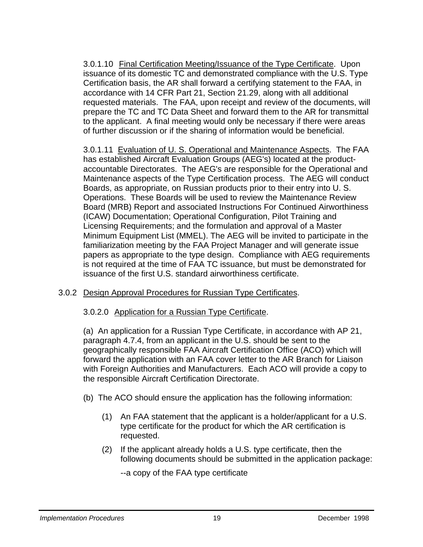3.0.1.10 Final Certification Meeting/Issuance of the Type Certificate. Upon issuance of its domestic TC and demonstrated compliance with the U.S. Type Certification basis, the AR shall forward a certifying statement to the FAA, in accordance with 14 CFR Part 21, Section 21.29, along with all additional requested materials. The FAA, upon receipt and review of the documents, will prepare the TC and TC Data Sheet and forward them to the AR for transmittal to the applicant. A final meeting would only be necessary if there were areas of further discussion or if the sharing of information would be beneficial.

3.0.1.11 Evaluation of U. S. Operational and Maintenance Aspects. The FAA has established Aircraft Evaluation Groups (AEG's) located at the productaccountable Directorates. The AEG's are responsible for the Operational and Maintenance aspects of the Type Certification process. The AEG will conduct Boards, as appropriate, on Russian products prior to their entry into U. S. Operations. These Boards will be used to review the Maintenance Review Board (MRB) Report and associated Instructions For Continued Airworthiness (ICAW) Documentation; Operational Configuration, Pilot Training and Licensing Requirements; and the formulation and approval of a Master Minimum Equipment List (MMEL). The AEG will be invited to participate in the familiarization meeting by the FAA Project Manager and will generate issue papers as appropriate to the type design. Compliance with AEG requirements is not required at the time of FAA TC issuance, but must be demonstrated for issuance of the first U.S. standard airworthiness certificate.

#### 3.0.2 Design Approval Procedures for Russian Type Certificates.

#### 3.0.2.0 Application for a Russian Type Certificate.

(a) An application for a Russian Type Certificate, in accordance with AP 21, paragraph 4.7.4, from an applicant in the U.S. should be sent to the geographically responsible FAA Aircraft Certification Office (ACO) which will forward the application with an FAA cover letter to the AR Branch for Liaison with Foreign Authorities and Manufacturers. Each ACO will provide a copy to the responsible Aircraft Certification Directorate.

- (b) The ACO should ensure the application has the following information:
	- (1) An FAA statement that the applicant is a holder/applicant for a U.S. type certificate for the product for which the AR certification is requested.
	- (2) If the applicant already holds a U.S. type certificate, then the following documents should be submitted in the application package:

--a copy of the FAA type certificate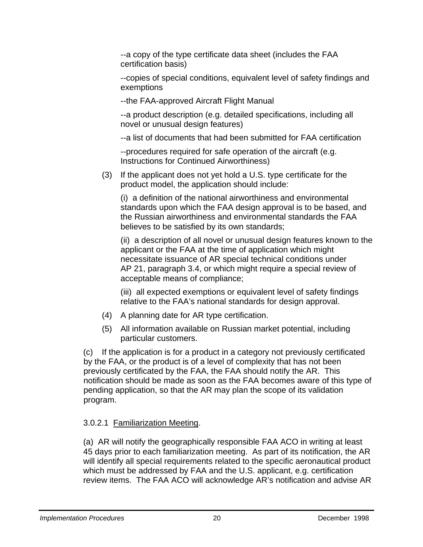--a copy of the type certificate data sheet (includes the FAA certification basis)

--copies of special conditions, equivalent level of safety findings and exemptions

--the FAA-approved Aircraft Flight Manual

--a product description (e.g. detailed specifications, including all novel or unusual design features)

--a list of documents that had been submitted for FAA certification

--procedures required for safe operation of the aircraft (e.g. Instructions for Continued Airworthiness)

(3) If the applicant does not yet hold a U.S. type certificate for the product model, the application should include:

(i) a definition of the national airworthiness and environmental standards upon which the FAA design approval is to be based, and the Russian airworthiness and environmental standards the FAA believes to be satisfied by its own standards;

(ii) a description of all novel or unusual design features known to the applicant or the FAA at the time of application which might necessitate issuance of AR special technical conditions under AP 21, paragraph 3.4, or which might require a special review of acceptable means of compliance;

(iii) all expected exemptions or equivalent level of safety findings relative to the FAA's national standards for design approval.

- (4) A planning date for AR type certification.
- (5) All information available on Russian market potential, including particular customers.

(c) If the application is for a product in a category not previously certificated by the FAA, or the product is of a level of complexity that has not been previously certificated by the FAA, the FAA should notify the AR. This notification should be made as soon as the FAA becomes aware of this type of pending application, so that the AR may plan the scope of its validation program.

#### 3.0.2.1 Familiarization Meeting.

(a) AR will notify the geographically responsible FAA ACO in writing at least 45 days prior to each familiarization meeting. As part of its notification, the AR will identify all special requirements related to the specific aeronautical product which must be addressed by FAA and the U.S. applicant, e.g. certification review items. The FAA ACO will acknowledge AR's notification and advise AR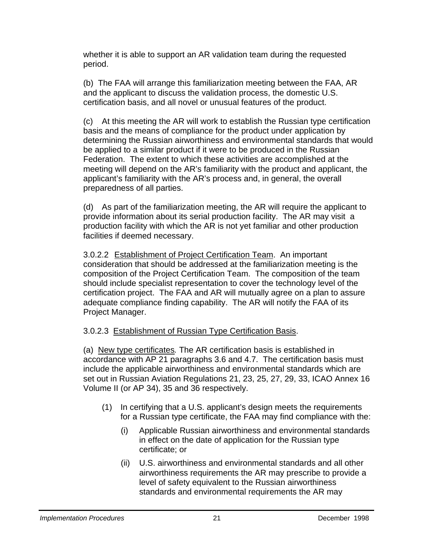whether it is able to support an AR validation team during the requested period.

(b) The FAA will arrange this familiarization meeting between the FAA, AR and the applicant to discuss the validation process, the domestic U.S. certification basis, and all novel or unusual features of the product.

(c) At this meeting the AR will work to establish the Russian type certification basis and the means of compliance for the product under application by determining the Russian airworthiness and environmental standards that would be applied to a similar product if it were to be produced in the Russian Federation. The extent to which these activities are accomplished at the meeting will depend on the AR's familiarity with the product and applicant, the applicant's familiarity with the AR's process and, in general, the overall preparedness of all parties.

(d) As part of the familiarization meeting, the AR will require the applicant to provide information about its serial production facility. The AR may visit a production facility with which the AR is not yet familiar and other production facilities if deemed necessary.

 3.0.2.2 Establishment of Project Certification Team. An important consideration that should be addressed at the familiarization meeting is the composition of the Project Certification Team. The composition of the team should include specialist representation to cover the technology level of the certification project. The FAA and AR will mutually agree on a plan to assure adequate compliance finding capability. The AR will notify the FAA of its Project Manager.

#### 3.0.2.3 Establishment of Russian Type Certification Basis.

(a) New type certificates*.* The AR certification basis is established in accordance with AP 21 paragraphs 3.6 and 4.7. The certification basis must include the applicable airworthiness and environmental standards which are set out in Russian Aviation Regulations 21, 23, 25, 27, 29, 33, ICAO Annex 16 Volume II (or AP 34), 35 and 36 respectively.

- (1) In certifying that a U.S. applicant's design meets the requirements for a Russian type certificate, the FAA may find compliance with the:
	- (i) Applicable Russian airworthiness and environmental standards in effect on the date of application for the Russian type certificate; or
	- (ii) U.S. airworthiness and environmental standards and all other airworthiness requirements the AR may prescribe to provide a level of safety equivalent to the Russian airworthiness standards and environmental requirements the AR may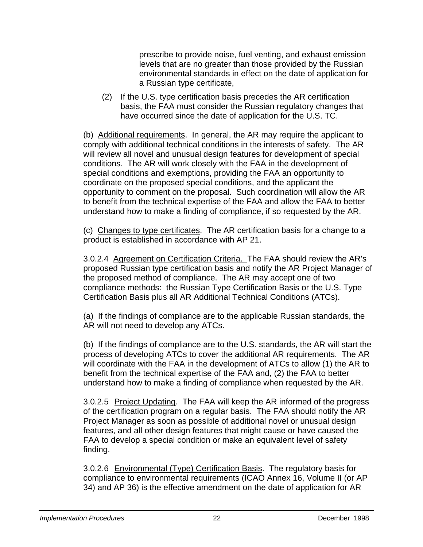prescribe to provide noise, fuel venting, and exhaust emission levels that are no greater than those provided by the Russian environmental standards in effect on the date of application for a Russian type certificate,

(2) If the U.S. type certification basis precedes the AR certification basis, the FAA must consider the Russian regulatory changes that have occurred since the date of application for the U.S. TC.

(b) Additional requirements. In general, the AR may require the applicant to comply with additional technical conditions in the interests of safety. The AR will review all novel and unusual design features for development of special conditions. The AR will work closely with the FAA in the development of special conditions and exemptions, providing the FAA an opportunity to coordinate on the proposed special conditions, and the applicant the opportunity to comment on the proposal. Such coordination will allow the AR to benefit from the technical expertise of the FAA and allow the FAA to better understand how to make a finding of compliance, if so requested by the AR.

(c) Changes to type certificates. The AR certification basis for a change to a product is established in accordance with AP 21.

3.0.2.4 Agreement on Certification Criteria. The FAA should review the AR's proposed Russian type certification basis and notify the AR Project Manager of the proposed method of compliance. The AR may accept one of two compliance methods: the Russian Type Certification Basis or the U.S. Type Certification Basis plus all AR Additional Technical Conditions (ATCs).

(a) If the findings of compliance are to the applicable Russian standards, the AR will not need to develop any ATCs.

(b) If the findings of compliance are to the U.S. standards, the AR will start the process of developing ATCs to cover the additional AR requirements. The AR will coordinate with the FAA in the development of ATCs to allow (1) the AR to benefit from the technical expertise of the FAA and, (2) the FAA to better understand how to make a finding of compliance when requested by the AR.

 3.0.2.5 Project Updating. The FAA will keep the AR informed of the progress of the certification program on a regular basis. The FAA should notify the AR Project Manager as soon as possible of additional novel or unusual design features, and all other design features that might cause or have caused the FAA to develop a special condition or make an equivalent level of safety finding.

3.0.2.6 Environmental (Type) Certification Basis. The regulatory basis for compliance to environmental requirements (ICAO Annex 16, Volume II (or AP 34) and AP 36) is the effective amendment on the date of application for AR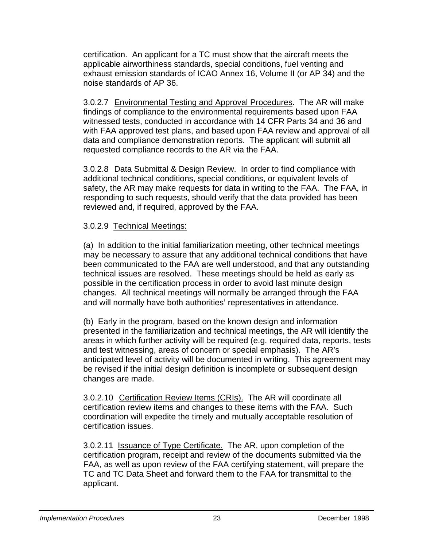certification. An applicant for a TC must show that the aircraft meets the applicable airworthiness standards, special conditions, fuel venting and exhaust emission standards of ICAO Annex 16, Volume II (or AP 34) and the noise standards of AP 36.

3.0.2.7 Environmental Testing and Approval Procedures. The AR will make findings of compliance to the environmental requirements based upon FAA witnessed tests, conducted in accordance with 14 CFR Parts 34 and 36 and with FAA approved test plans, and based upon FAA review and approval of all data and compliance demonstration reports. The applicant will submit all requested compliance records to the AR via the FAA.

3.0.2.8 Data Submittal & Design Review. In order to find compliance with additional technical conditions, special conditions, or equivalent levels of safety, the AR may make requests for data in writing to the FAA. The FAA, in responding to such requests, should verify that the data provided has been reviewed and, if required, approved by the FAA.

#### 3.0.2.9 Technical Meetings:

(a) In addition to the initial familiarization meeting, other technical meetings may be necessary to assure that any additional technical conditions that have been communicated to the FAA are well understood, and that any outstanding technical issues are resolved. These meetings should be held as early as possible in the certification process in order to avoid last minute design changes. All technical meetings will normally be arranged through the FAA and will normally have both authorities' representatives in attendance.

(b) Early in the program, based on the known design and information presented in the familiarization and technical meetings, the AR will identify the areas in which further activity will be required (e.g. required data, reports, tests and test witnessing, areas of concern or special emphasis). The AR's anticipated level of activity will be documented in writing. This agreement may be revised if the initial design definition is incomplete or subsequent design changes are made.

3.0.2.10 Certification Review Items (CRIs). The AR will coordinate all certification review items and changes to these items with the FAA. Such coordination will expedite the timely and mutually acceptable resolution of certification issues.

3.0.2.11 Issuance of Type Certificate. The AR, upon completion of the certification program, receipt and review of the documents submitted via the FAA, as well as upon review of the FAA certifying statement, will prepare the TC and TC Data Sheet and forward them to the FAA for transmittal to the applicant.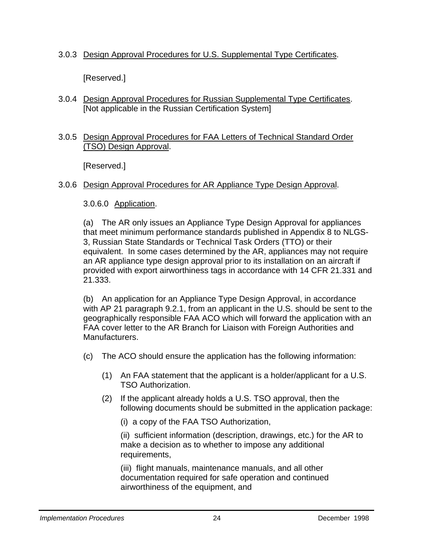#### 3.0.3 Design Approval Procedures for U.S. Supplemental Type Certificates.

[Reserved.]

3.0.4 Design Approval Procedures for Russian Supplemental Type Certificates. [Not applicable in the Russian Certification System]

#### 3.0.5 Design Approval Procedures for FAA Letters of Technical Standard Order (TSO) Design Approval.

[Reserved.]

#### 3.0.6 Design Approval Procedures for AR Appliance Type Design Approval.

#### 3.0.6.0 Application.

(a) The AR only issues an Appliance Type Design Approval for appliances that meet minimum performance standards published in Appendix 8 to NLGS-3, Russian State Standards or Technical Task Orders (TTO) or their equivalent. In some cases determined by the AR, appliances may not require an AR appliance type design approval prior to its installation on an aircraft if provided with export airworthiness tags in accordance with 14 CFR 21.331 and 21.333.

(b) An application for an Appliance Type Design Approval, in accordance with AP 21 paragraph 9.2.1, from an applicant in the U.S. should be sent to the geographically responsible FAA ACO which will forward the application with an FAA cover letter to the AR Branch for Liaison with Foreign Authorities and Manufacturers.

- (c) The ACO should ensure the application has the following information:
	- (1) An FAA statement that the applicant is a holder/applicant for a U.S. TSO Authorization.
	- (2) If the applicant already holds a U.S. TSO approval, then the following documents should be submitted in the application package:
		- (i) a copy of the FAA TSO Authorization,

(ii) sufficient information (description, drawings, etc.) for the AR to make a decision as to whether to impose any additional requirements,

 (iii) flight manuals, maintenance manuals, and all other documentation required for safe operation and continued airworthiness of the equipment, and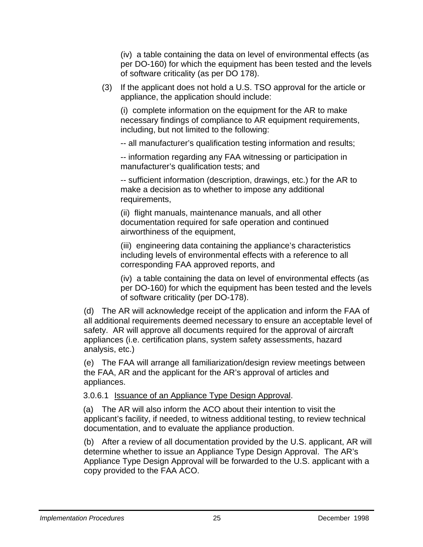(iv) a table containing the data on level of environmental effects (as per DO-160) for which the equipment has been tested and the levels of software criticality (as per DO 178).

(3) If the applicant does not hold a U.S. TSO approval for the article or appliance, the application should include:

(i) complete information on the equipment for the AR to make necessary findings of compliance to AR equipment requirements, including, but not limited to the following:

-- all manufacturer's qualification testing information and results;

-- information regarding any FAA witnessing or participation in manufacturer's qualification tests; and

 -- sufficient information (description, drawings, etc.) for the AR to make a decision as to whether to impose any additional requirements,

 (ii) flight manuals, maintenance manuals, and all other documentation required for safe operation and continued airworthiness of the equipment,

(iii) engineering data containing the appliance's characteristics including levels of environmental effects with a reference to all corresponding FAA approved reports, and

(iv) a table containing the data on level of environmental effects (as per DO-160) for which the equipment has been tested and the levels of software criticality (per DO-178).

(d) The AR will acknowledge receipt of the application and inform the FAA of all additional requirements deemed necessary to ensure an acceptable level of safety. AR will approve all documents required for the approval of aircraft appliances (i.e. certification plans, system safety assessments, hazard analysis, etc.)

(e) The FAA will arrange all familiarization/design review meetings between the FAA, AR and the applicant for the AR's approval of articles and appliances.

3.0.6.1 Issuance of an Appliance Type Design Approval.

(a) The AR will also inform the ACO about their intention to visit the applicant's facility, if needed, to witness additional testing, to review technical documentation, and to evaluate the appliance production.

(b) After a review of all documentation provided by the U.S. applicant, AR will determine whether to issue an Appliance Type Design Approval. The AR's Appliance Type Design Approval will be forwarded to the U.S. applicant with a copy provided to the FAA ACO.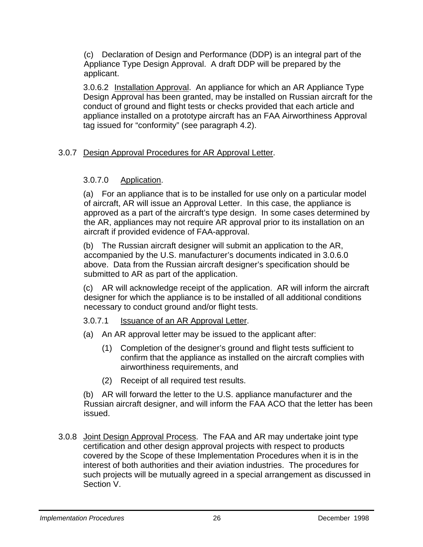(c) Declaration of Design and Performance (DDP) is an integral part of the Appliance Type Design Approval. A draft DDP will be prepared by the applicant.

 3.0.6.2 Installation Approval. An appliance for which an AR Appliance Type Design Approval has been granted, may be installed on Russian aircraft for the conduct of ground and flight tests or checks provided that each article and appliance installed on a prototype aircraft has an FAA Airworthiness Approval tag issued for "conformity" (see paragraph 4.2).

#### 3.0.7 Design Approval Procedures for AR Approval Letter.

#### 3.0.7.0 Application.

(a) For an appliance that is to be installed for use only on a particular model of aircraft, AR will issue an Approval Letter. In this case, the appliance is approved as a part of the aircraft's type design. In some cases determined by the AR, appliances may not require AR approval prior to its installation on an aircraft if provided evidence of FAA-approval.

(b) The Russian aircraft designer will submit an application to the AR, accompanied by the U.S. manufacturer's documents indicated in 3.0.6.0 above. Data from the Russian aircraft designer's specification should be submitted to AR as part of the application.

(c) AR will acknowledge receipt of the application. AR will inform the aircraft designer for which the appliance is to be installed of all additional conditions necessary to conduct ground and/or flight tests.

#### 3.0.7.1 Issuance of an AR Approval Letter.

- (a) An AR approval letter may be issued to the applicant after:
	- (1) Completion of the designer's ground and flight tests sufficient to confirm that the appliance as installed on the aircraft complies with airworthiness requirements, and
	- (2) Receipt of all required test results.

(b) AR will forward the letter to the U.S. appliance manufacturer and the Russian aircraft designer, and will inform the FAA ACO that the letter has been issued.

3.0.8 Joint Design Approval Process. The FAA and AR may undertake joint type certification and other design approval projects with respect to products covered by the Scope of these Implementation Procedures when it is in the interest of both authorities and their aviation industries. The procedures for such projects will be mutually agreed in a special arrangement as discussed in Section V.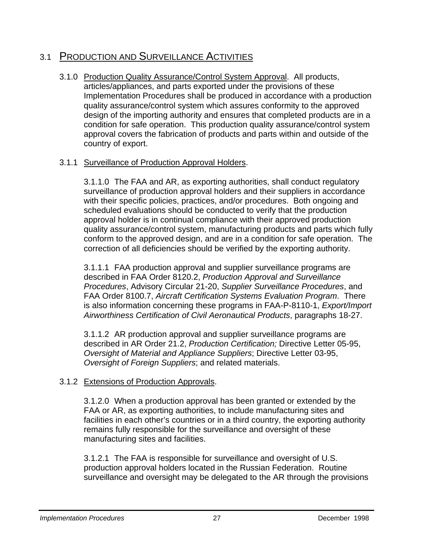### 3.1 PRODUCTION AND SURVEILLANCE ACTIVITIES

3.1.0 Production Quality Assurance/Control System Approval. All products, articles/appliances, and parts exported under the provisions of these Implementation Procedures shall be produced in accordance with a production quality assurance/control system which assures conformity to the approved design of the importing authority and ensures that completed products are in a condition for safe operation. This production quality assurance/control system approval covers the fabrication of products and parts within and outside of the country of export.

#### 3.1.1 Surveillance of Production Approval Holders.

3.1.1.0 The FAA and AR, as exporting authorities, shall conduct regulatory surveillance of production approval holders and their suppliers in accordance with their specific policies, practices, and/or procedures. Both ongoing and scheduled evaluations should be conducted to verify that the production approval holder is in continual compliance with their approved production quality assurance/control system, manufacturing products and parts which fully conform to the approved design, and are in a condition for safe operation. The correction of all deficiencies should be verified by the exporting authority.

3.1.1.1 FAA production approval and supplier surveillance programs are described in FAA Order 8120.2, *Production Approval and Surveillance Procedures*, Advisory Circular 21-20, *Supplier Surveillance Procedures*, and FAA Order 8100.7, *Aircraft Certification Systems Evaluation Program*. There is also information concerning these programs in FAA-P-8110-1, *Export/Import Airworthiness Certification of Civil Aeronautical Products*, paragraphs 18-27.

3.1.1.2 AR production approval and supplier surveillance programs are described in AR Order 21.2, *Production Certification;* Directive Letter 05-95, *Oversight of Material and Appliance Suppliers*; Directive Letter 03-95, *Oversight of Foreign Suppliers*; and related materials.

#### 3.1.2 Extensions of Production Approvals.

3.1.2.0 When a production approval has been granted or extended by the FAA or AR, as exporting authorities, to include manufacturing sites and facilities in each other's countries or in a third country, the exporting authority remains fully responsible for the surveillance and oversight of these manufacturing sites and facilities.

3.1.2.1 The FAA is responsible for surveillance and oversight of U.S. production approval holders located in the Russian Federation. Routine surveillance and oversight may be delegated to the AR through the provisions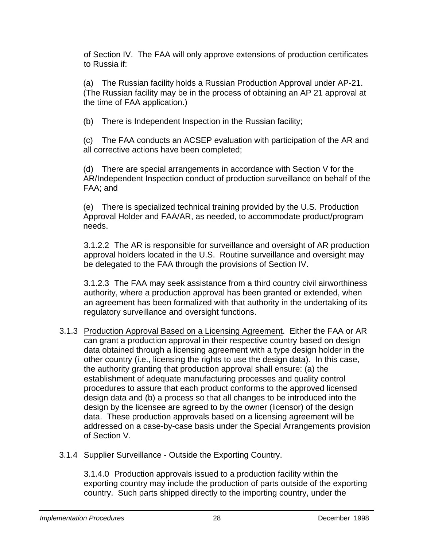of Section IV. The FAA will only approve extensions of production certificates to Russia if:

(a) The Russian facility holds a Russian Production Approval under AP-21. (The Russian facility may be in the process of obtaining an AP 21 approval at the time of FAA application.)

(b) There is Independent Inspection in the Russian facility;

(c) The FAA conducts an ACSEP evaluation with participation of the AR and all corrective actions have been completed;

(d) There are special arrangements in accordance with Section V for the AR/Independent Inspection conduct of production surveillance on behalf of the FAA; and

(e) There is specialized technical training provided by the U.S. Production Approval Holder and FAA/AR, as needed, to accommodate product/program needs.

3.1.2.2 The AR is responsible for surveillance and oversight of AR production approval holders located in the U.S. Routine surveillance and oversight may be delegated to the FAA through the provisions of Section IV.

3.1.2.3 The FAA may seek assistance from a third country civil airworthiness authority, where a production approval has been granted or extended, when an agreement has been formalized with that authority in the undertaking of its regulatory surveillance and oversight functions.

3.1.3 Production Approval Based on a Licensing Agreement. Either the FAA or AR can grant a production approval in their respective country based on design data obtained through a licensing agreement with a type design holder in the other country (i.e., licensing the rights to use the design data). In this case, the authority granting that production approval shall ensure: (a) the establishment of adequate manufacturing processes and quality control procedures to assure that each product conforms to the approved licensed design data and (b) a process so that all changes to be introduced into the design by the licensee are agreed to by the owner (licensor) of the design data. These production approvals based on a licensing agreement will be addressed on a case-by-case basis under the Special Arrangements provision of Section V.

#### 3.1.4 Supplier Surveillance - Outside the Exporting Country.

3.1.4.0 Production approvals issued to a production facility within the exporting country may include the production of parts outside of the exporting country. Such parts shipped directly to the importing country, under the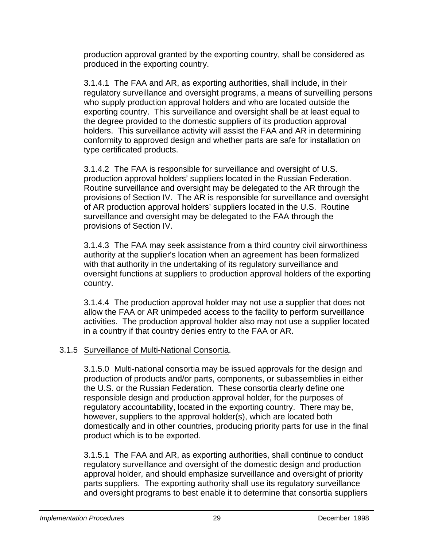production approval granted by the exporting country, shall be considered as produced in the exporting country.

3.1.4.1 The FAA and AR, as exporting authorities, shall include, in their regulatory surveillance and oversight programs, a means of surveilling persons who supply production approval holders and who are located outside the exporting country. This surveillance and oversight shall be at least equal to the degree provided to the domestic suppliers of its production approval holders. This surveillance activity will assist the FAA and AR in determining conformity to approved design and whether parts are safe for installation on type certificated products.

3.1.4.2 The FAA is responsible for surveillance and oversight of U.S. production approval holders' suppliers located in the Russian Federation. Routine surveillance and oversight may be delegated to the AR through the provisions of Section IV. The AR is responsible for surveillance and oversight of AR production approval holders' suppliers located in the U.S. Routine surveillance and oversight may be delegated to the FAA through the provisions of Section IV.

3.1.4.3 The FAA may seek assistance from a third country civil airworthiness authority at the supplier's location when an agreement has been formalized with that authority in the undertaking of its regulatory surveillance and oversight functions at suppliers to production approval holders of the exporting country.

3.1.4.4 The production approval holder may not use a supplier that does not allow the FAA or AR unimpeded access to the facility to perform surveillance activities. The production approval holder also may not use a supplier located in a country if that country denies entry to the FAA or AR.

#### 3.1.5 Surveillance of Multi-National Consortia.

3.1.5.0 Multi-national consortia may be issued approvals for the design and production of products and/or parts, components, or subassemblies in either the U.S. or the Russian Federation. These consortia clearly define one responsible design and production approval holder, for the purposes of regulatory accountability, located in the exporting country. There may be, however, suppliers to the approval holder(s), which are located both domestically and in other countries, producing priority parts for use in the final product which is to be exported.

3.1.5.1 The FAA and AR, as exporting authorities, shall continue to conduct regulatory surveillance and oversight of the domestic design and production approval holder, and should emphasize surveillance and oversight of priority parts suppliers. The exporting authority shall use its regulatory surveillance and oversight programs to best enable it to determine that consortia suppliers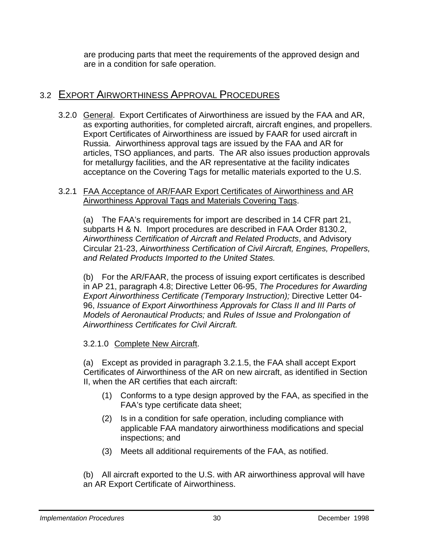are producing parts that meet the requirements of the approved design and are in a condition for safe operation.

### 3.2 EXPORT AIRWORTHINESS APPROVAL PROCEDURES

 3.2.0 General. Export Certificates of Airworthiness are issued by the FAA and AR, as exporting authorities, for completed aircraft, aircraft engines, and propellers. Export Certificates of Airworthiness are issued by FAAR for used aircraft in Russia. Airworthiness approval tags are issued by the FAA and AR for articles, TSO appliances, and parts. The AR also issues production approvals for metallurgy facilities, and the AR representative at the facility indicates acceptance on the Covering Tags for metallic materials exported to the U.S.

#### 3.2.1 FAA Acceptance of AR/FAAR Export Certificates of Airworthiness and AR Airworthiness Approval Tags and Materials Covering Tags.

(a) The FAA's requirements for import are described in 14 CFR part 21, subparts H & N. Import procedures are described in FAA Order 8130.2, *Airworthiness Certification of Aircraft and Related Products*, and Advisory Circular 21-23, *Airworthiness Certification of Civil Aircraft, Engines, Propellers, and Related Products Imported to the United States.*

(b) For the AR/FAAR, the process of issuing export certificates is described in AP 21, paragraph 4.8; Directive Letter 06-95, *The Procedures for Awarding Export Airworthiness Certificate (Temporary Instruction);* Directive Letter 04- 96, *Issuance of Export Airworthiness Approvals for Class II and III Parts of Models of Aeronautical Products;* and *Rules of Issue and Prolongation of Airworthiness Certificates for Civil Aircraft.* 

#### 3.2.1.0 Complete New Aircraft.

(a) Except as provided in paragraph 3.2.1.5, the FAA shall accept Export Certificates of Airworthiness of the AR on new aircraft, as identified in Section II, when the AR certifies that each aircraft:

- (1) Conforms to a type design approved by the FAA, as specified in the FAA's type certificate data sheet;
- (2) Is in a condition for safe operation, including compliance with applicable FAA mandatory airworthiness modifications and special inspections; and
- (3) Meets all additional requirements of the FAA, as notified.

(b) All aircraft exported to the U.S. with AR airworthiness approval will have an AR Export Certificate of Airworthiness.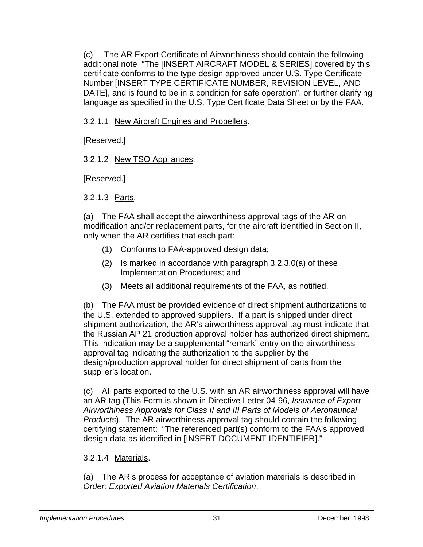(c) The AR Export Certificate of Airworthiness should contain the following additional note "The [INSERT AIRCRAFT MODEL & SERIES] covered by this certificate conforms to the type design approved under U.S. Type Certificate Number [INSERT TYPE CERTIFICATE NUMBER, REVISION LEVEL, AND DATE], and is found to be in a condition for safe operation", or further clarifying language as specified in the U.S. Type Certificate Data Sheet or by the FAA.

3.2.1.1 New Aircraft Engines and Propellers.

[Reserved.]

#### 3.2.1.2 New TSO Appliances.

[Reserved.]

3.2.1.3 Parts.

(a) The FAA shall accept the airworthiness approval tags of the AR on modification and/or replacement parts, for the aircraft identified in Section II, only when the AR certifies that each part:

- (1) Conforms to FAA-approved design data;
- (2) Is marked in accordance with paragraph 3.2.3.0(a) of these Implementation Procedures; and
- (3) Meets all additional requirements of the FAA, as notified.

(b) The FAA must be provided evidence of direct shipment authorizations to the U.S. extended to approved suppliers. If a part is shipped under direct shipment authorization, the AR's airworthiness approval tag must indicate that the Russian AP 21 production approval holder has authorized direct shipment. This indication may be a supplemental "remark" entry on the airworthiness approval tag indicating the authorization to the supplier by the design/production approval holder for direct shipment of parts from the supplier's location.

(c) All parts exported to the U.S. with an AR airworthiness approval will have an AR tag (This Form is shown in Directive Letter 04-96, *Issuance of Export Airworthiness Approvals for Class II and III Parts of Models of Aeronautical Products*). The AR airworthiness approval tag should contain the following certifying statement: "The referenced part(s) conform to the FAA's approved design data as identified in [INSERT DOCUMENT IDENTIFIER]."

#### 3.2.1.4 Materials.

(a) The AR's process for acceptance of aviation materials is described in *Order: Exported Aviation Materials Certification*.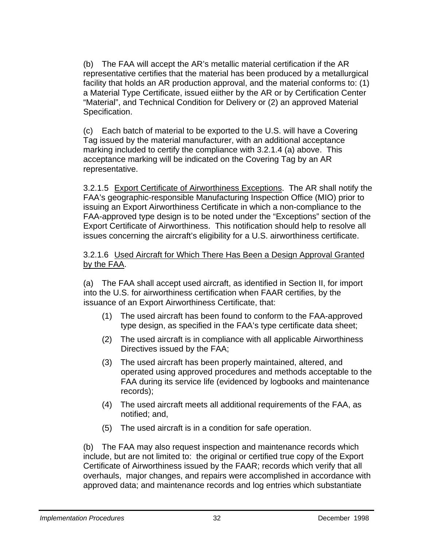(b) The FAA will accept the AR's metallic material certification if the AR representative certifies that the material has been produced by a metallurgical facility that holds an AR production approval, and the material conforms to: (1) a Material Type Certificate, issued eiither by the AR or by Certification Center "Material", and Technical Condition for Delivery or (2) an approved Material Specification.

(c) Each batch of material to be exported to the U.S. will have a Covering Tag issued by the material manufacturer, with an additional acceptance marking included to certify the compliance with 3.2.1.4 (a) above. This acceptance marking will be indicated on the Covering Tag by an AR representative.

 3.2.1.5 Export Certificate of Airworthiness Exceptions. The AR shall notify the FAA's geographic-responsible Manufacturing Inspection Office (MIO) prior to issuing an Export Airworthiness Certificate in which a non-compliance to the FAA-approved type design is to be noted under the "Exceptions" section of the Export Certificate of Airworthiness. This notification should help to resolve all issues concerning the aircraft's eligibility for a U.S. airworthiness certificate.

#### 3.2.1.6 Used Aircraft for Which There Has Been a Design Approval Granted by the FAA.

(a) The FAA shall accept used aircraft, as identified in Section II, for import into the U.S. for airworthiness certification when FAAR certifies, by the issuance of an Export Airworthiness Certificate, that:

- (1) The used aircraft has been found to conform to the FAA-approved type design, as specified in the FAA's type certificate data sheet;
- (2) The used aircraft is in compliance with all applicable Airworthiness Directives issued by the FAA;
- (3) The used aircraft has been properly maintained, altered, and operated using approved procedures and methods acceptable to the FAA during its service life (evidenced by logbooks and maintenance records);
- (4) The used aircraft meets all additional requirements of the FAA, as notified; and,
- (5) The used aircraft is in a condition for safe operation.

(b) The FAA may also request inspection and maintenance records which include, but are not limited to: the original or certified true copy of the Export Certificate of Airworthiness issued by the FAAR; records which verify that all overhauls, major changes, and repairs were accomplished in accordance with approved data; and maintenance records and log entries which substantiate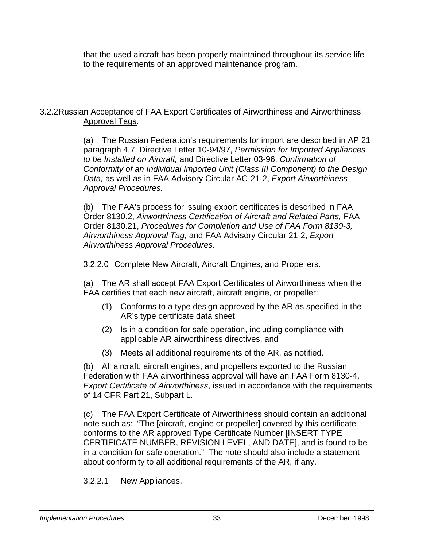that the used aircraft has been properly maintained throughout its service life to the requirements of an approved maintenance program.

#### 3.2.2 Russian Acceptance of FAA Export Certificates of Airworthiness and Airworthiness Approval Tags.

(a) The Russian Federation's requirements for import are described in AP 21 paragraph 4.7, Directive Letter 10-94/97, *Permission for Imported Appliances to be Installed on Aircraft,* and Directive Letter 03-96, *Confirmation of Conformity of an Individual Imported Unit (Class III Component) to the Design Data,* as well as in FAA Advisory Circular AC-21-2, *Export Airworthiness Approval Procedures.*

(b) The FAA's process for issuing export certificates is described in FAA Order 8130.2, *Airworthiness Certification of Aircraft and Related Parts,* FAA Order 8130.21, *Procedures for Completion and Use of FAA Form 8130-3, Airworthiness Approval Tag,* and FAA Advisory Circular 21-2, *Export Airworthiness Approval Procedures.*

#### 3.2.2.0 Complete New Aircraft, Aircraft Engines, and Propellers.

(a) The AR shall accept FAA Export Certificates of Airworthiness when the FAA certifies that each new aircraft, aircraft engine, or propeller:

- (1) Conforms to a type design approved by the AR as specified in the AR's type certificate data sheet
- (2) Is in a condition for safe operation, including compliance with applicable AR airworthiness directives, and
- (3) Meets all additional requirements of the AR, as notified.

(b) All aircraft, aircraft engines, and propellers exported to the Russian Federation with FAA airworthiness approval will have an FAA Form 8130-4, *Export Certificate of Airworthiness*, issued in accordance with the requirements of 14 CFR Part 21, Subpart L.

(c) The FAA Export Certificate of Airworthiness should contain an additional note such as: "The [aircraft, engine or propeller] covered by this certificate conforms to the AR approved Type Certificate Number [INSERT TYPE CERTIFICATE NUMBER, REVISION LEVEL, AND DATE], and is found to be in a condition for safe operation." The note should also include a statement about conformity to all additional requirements of the AR, if any.

#### 3.2.2.1 New Appliances.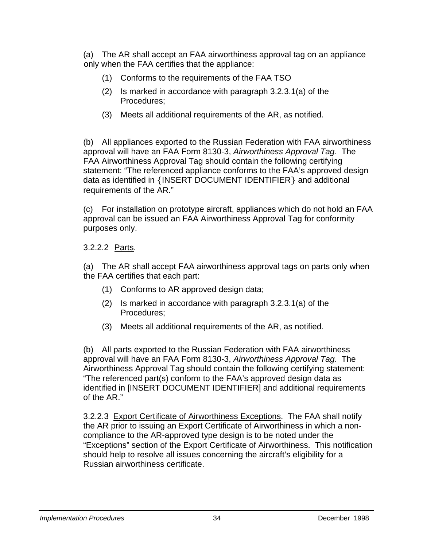(a) The AR shall accept an FAA airworthiness approval tag on an appliance only when the FAA certifies that the appliance:

- (1) Conforms to the requirements of the FAA TSO
- (2) Is marked in accordance with paragraph 3.2.3.1(a) of the Procedures;
- (3) Meets all additional requirements of the AR, as notified.

(b) All appliances exported to the Russian Federation with FAA airworthiness approval will have an FAA Form 8130-3, *Airworthiness Approval Tag*. The FAA Airworthiness Approval Tag should contain the following certifying statement: "The referenced appliance conforms to the FAA's approved design data as identified in {INSERT DOCUMENT IDENTIFIER} and additional requirements of the AR."

(c) For installation on prototype aircraft, appliances which do not hold an FAA approval can be issued an FAA Airworthiness Approval Tag for conformity purposes only.

3.2.2.2 Parts.

(a) The AR shall accept FAA airworthiness approval tags on parts only when the FAA certifies that each part:

- (1) Conforms to AR approved design data;
- (2) Is marked in accordance with paragraph 3.2.3.1(a) of the Procedures;
- (3) Meets all additional requirements of the AR, as notified.

(b) All parts exported to the Russian Federation with FAA airworthiness approval will have an FAA Form 8130-3, *Airworthiness Approval Tag*. The Airworthiness Approval Tag should contain the following certifying statement: "The referenced part(s) conform to the FAA's approved design data as identified in [INSERT DOCUMENT IDENTIFIER] and additional requirements of the AR."

3.2.2.3 Export Certificate of Airworthiness Exceptions. The FAA shall notify the AR prior to issuing an Export Certificate of Airworthiness in which a noncompliance to the AR-approved type design is to be noted under the "Exceptions" section of the Export Certificate of Airworthiness. This notification should help to resolve all issues concerning the aircraft's eligibility for a Russian airworthiness certificate.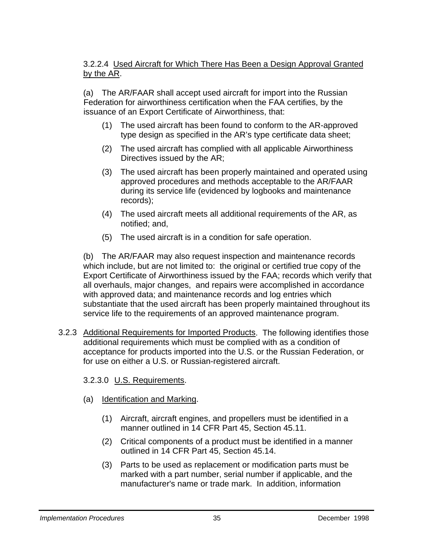#### 3.2.2.4 Used Aircraft for Which There Has Been a Design Approval Granted by the AR.

(a) The AR/FAAR shall accept used aircraft for import into the Russian Federation for airworthiness certification when the FAA certifies, by the issuance of an Export Certificate of Airworthiness, that:

- (1) The used aircraft has been found to conform to the AR-approved type design as specified in the AR's type certificate data sheet;
- (2) The used aircraft has complied with all applicable Airworthiness Directives issued by the AR;
- (3) The used aircraft has been properly maintained and operated using approved procedures and methods acceptable to the AR/FAAR during its service life (evidenced by logbooks and maintenance records);
- (4) The used aircraft meets all additional requirements of the AR, as notified; and,
- (5) The used aircraft is in a condition for safe operation.

(b) The AR/FAAR may also request inspection and maintenance records which include, but are not limited to: the original or certified true copy of the Export Certificate of Airworthiness issued by the FAA; records which verify that all overhauls, major changes, and repairs were accomplished in accordance with approved data; and maintenance records and log entries which substantiate that the used aircraft has been properly maintained throughout its service life to the requirements of an approved maintenance program.

3.2.3 Additional Requirements for Imported Products. The following identifies those additional requirements which must be complied with as a condition of acceptance for products imported into the U.S. or the Russian Federation, or for use on either a U.S. or Russian-registered aircraft.

#### 3.2.3.0 U.S. Requirements.

- (a) Identification and Marking.
	- (1) Aircraft, aircraft engines, and propellers must be identified in a manner outlined in 14 CFR Part 45, Section 45.11.
	- (2) Critical components of a product must be identified in a manner outlined in 14 CFR Part 45, Section 45.14.
	- (3) Parts to be used as replacement or modification parts must be marked with a part number, serial number if applicable, and the manufacturer's name or trade mark. In addition, information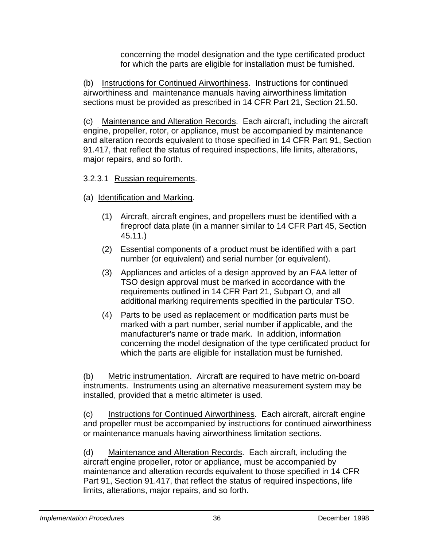concerning the model designation and the type certificated product for which the parts are eligible for installation must be furnished.

(b) Instructions for Continued Airworthiness. Instructions for continued airworthiness and maintenance manuals having airworthiness limitation sections must be provided as prescribed in 14 CFR Part 21, Section 21.50.

(c) Maintenance and Alteration Records. Each aircraft, including the aircraft engine, propeller, rotor, or appliance, must be accompanied by maintenance and alteration records equivalent to those specified in 14 CFR Part 91, Section 91.417, that reflect the status of required inspections, life limits, alterations, major repairs, and so forth.

#### 3.2.3.1 Russian requirements.

- (a) Identification and Marking.
	- (1) Aircraft, aircraft engines, and propellers must be identified with a fireproof data plate (in a manner similar to 14 CFR Part 45, Section 45.11.)
	- (2) Essential components of a product must be identified with a part number (or equivalent) and serial number (or equivalent).
	- (3) Appliances and articles of a design approved by an FAA letter of TSO design approval must be marked in accordance with the requirements outlined in 14 CFR Part 21, Subpart O, and all additional marking requirements specified in the particular TSO.
	- (4) Parts to be used as replacement or modification parts must be marked with a part number, serial number if applicable, and the manufacturer's name or trade mark. In addition, information concerning the model designation of the type certificated product for which the parts are eligible for installation must be furnished.

 (b) Metric instrumentation. Aircraft are required to have metric on-board instruments. Instruments using an alternative measurement system may be installed, provided that a metric altimeter is used.

(c) Instructions for Continued Airworthiness. Each aircraft, aircraft engine and propeller must be accompanied by instructions for continued airworthiness or maintenance manuals having airworthiness limitation sections.

(d) Maintenance and Alteration Records. Each aircraft, including the aircraft engine propeller, rotor or appliance, must be accompanied by maintenance and alteration records equivalent to those specified in 14 CFR Part 91, Section 91.417, that reflect the status of required inspections, life limits, alterations, major repairs, and so forth.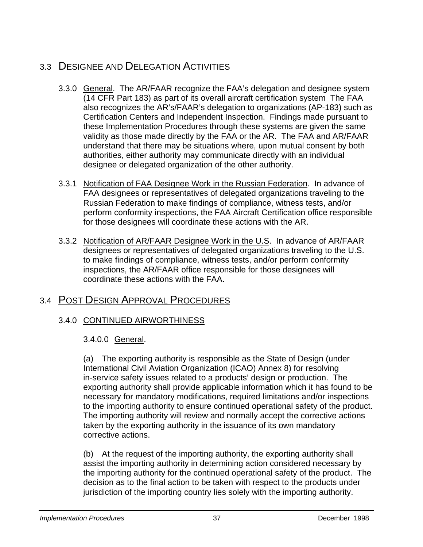### 3.3 DESIGNEE AND DELEGATION ACTIVITIES

- 3.3.0 General. The AR/FAAR recognize the FAA's delegation and designee system (14 CFR Part 183) as part of its overall aircraft certification system The FAA also recognizes the AR's/FAAR's delegation to organizations (AP-183) such as Certification Centers and Independent Inspection. Findings made pursuant to these Implementation Procedures through these systems are given the same validity as those made directly by the FAA or the AR. The FAA and AR/FAAR understand that there may be situations where, upon mutual consent by both authorities, either authority may communicate directly with an individual designee or delegated organization of the other authority.
- 3.3.1 Notification of FAA Designee Work in the Russian Federation. In advance of FAA designees or representatives of delegated organizations traveling to the Russian Federation to make findings of compliance, witness tests, and/or perform conformity inspections, the FAA Aircraft Certification office responsible for those designees will coordinate these actions with the AR.
- 3.3.2 Notification of AR/FAAR Designee Work in the U.S. In advance of AR/FAAR designees or representatives of delegated organizations traveling to the U.S. to make findings of compliance, witness tests, and/or perform conformity inspections, the AR/FAAR office responsible for those designees will coordinate these actions with the FAA.

### 3.4 POST DESIGN APPROVAL PROCEDURES

#### 3.4.0 CONTINUED AIRWORTHINESS

#### 3.4.0.0 General.

(a) The exporting authority is responsible as the State of Design (under International Civil Aviation Organization (ICAO) Annex 8) for resolving in-service safety issues related to a products' design or production. The exporting authority shall provide applicable information which it has found to be necessary for mandatory modifications, required limitations and/or inspections to the importing authority to ensure continued operational safety of the product. The importing authority will review and normally accept the corrective actions taken by the exporting authority in the issuance of its own mandatory corrective actions.

(b) At the request of the importing authority, the exporting authority shall assist the importing authority in determining action considered necessary by the importing authority for the continued operational safety of the product. The decision as to the final action to be taken with respect to the products under jurisdiction of the importing country lies solely with the importing authority.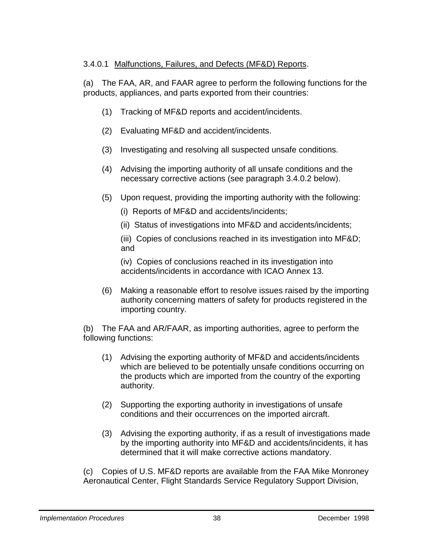#### 3.4.0.1 Malfunctions, Failures, and Defects (MF&D) Reports.

(a) The FAA, AR, and FAAR agree to perform the following functions for the products, appliances, and parts exported from their countries:

- (1) Tracking of MF&D reports and accident/incidents.
- (2) Evaluating MF&D and accident/incidents.
- (3) Investigating and resolving all suspected unsafe conditions.
- (4) Advising the importing authority of all unsafe conditions and the necessary corrective actions (see paragraph 3.4.0.2 below).
- (5) Upon request, providing the importing authority with the following:
	- (i) Reports of MF&D and accidents/incidents;
	- (ii) Status of investigations into MF&D and accidents/incidents;

(iii) Copies of conclusions reached in its investigation into MF&D; and

(iv) Copies of conclusions reached in its investigation into accidents/incidents in accordance with ICAO Annex 13.

(6) Making a reasonable effort to resolve issues raised by the importing authority concerning matters of safety for products registered in the importing country.

(b) The FAA and AR/FAAR, as importing authorities, agree to perform the following functions:

- (1) Advising the exporting authority of MF&D and accidents/incidents which are believed to be potentially unsafe conditions occurring on the products which are imported from the country of the exporting authority.
- (2) Supporting the exporting authority in investigations of unsafe conditions and their occurrences on the imported aircraft.
- (3) Advising the exporting authority, if as a result of investigations made by the importing authority into MF&D and accidents/incidents, it has determined that it will make corrective actions mandatory.

(c) Copies of U.S. MF&D reports are available from the FAA Mike Monroney Aeronautical Center, Flight Standards Service Regulatory Support Division,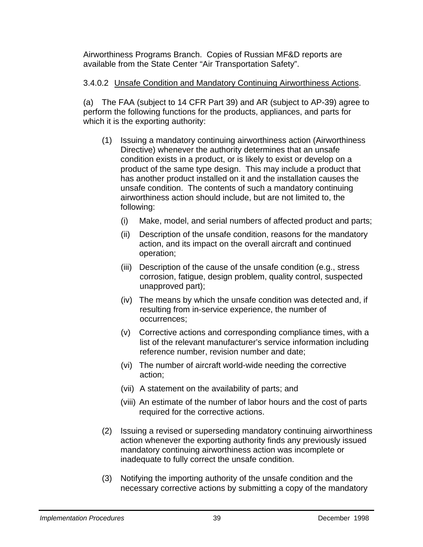Airworthiness Programs Branch. Copies of Russian MF&D reports are available from the State Center "Air Transportation Safety".

#### 3.4.0.2 Unsafe Condition and Mandatory Continuing Airworthiness Actions.

(a) The FAA (subject to 14 CFR Part 39) and AR (subject to AP-39) agree to perform the following functions for the products, appliances, and parts for which it is the exporting authority:

- (1) Issuing a mandatory continuing airworthiness action (Airworthiness Directive) whenever the authority determines that an unsafe condition exists in a product, or is likely to exist or develop on a product of the same type design. This may include a product that has another product installed on it and the installation causes the unsafe condition. The contents of such a mandatory continuing airworthiness action should include, but are not limited to, the following:
	- (i) Make, model, and serial numbers of affected product and parts;
	- (ii) Description of the unsafe condition, reasons for the mandatory action, and its impact on the overall aircraft and continued operation;
	- (iii) Description of the cause of the unsafe condition (e.g., stress corrosion, fatigue, design problem, quality control, suspected unapproved part);
	- (iv) The means by which the unsafe condition was detected and, if resulting from in-service experience, the number of occurrences;
	- (v) Corrective actions and corresponding compliance times, with a list of the relevant manufacturer's service information including reference number, revision number and date;
	- (vi) The number of aircraft world-wide needing the corrective action;
	- (vii) A statement on the availability of parts; and
	- (viii) An estimate of the number of labor hours and the cost of parts required for the corrective actions.
- (2) Issuing a revised or superseding mandatory continuing airworthiness action whenever the exporting authority finds any previously issued mandatory continuing airworthiness action was incomplete or inadequate to fully correct the unsafe condition.
- (3) Notifying the importing authority of the unsafe condition and the necessary corrective actions by submitting a copy of the mandatory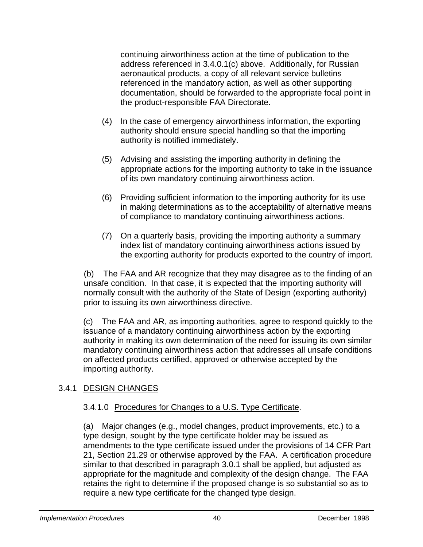continuing airworthiness action at the time of publication to the address referenced in 3.4.0.1(c) above. Additionally, for Russian aeronautical products, a copy of all relevant service bulletins referenced in the mandatory action, as well as other supporting documentation, should be forwarded to the appropriate focal point in the product-responsible FAA Directorate.

- (4) In the case of emergency airworthiness information, the exporting authority should ensure special handling so that the importing authority is notified immediately.
- (5) Advising and assisting the importing authority in defining the appropriate actions for the importing authority to take in the issuance of its own mandatory continuing airworthiness action.
- (6) Providing sufficient information to the importing authority for its use in making determinations as to the acceptability of alternative means of compliance to mandatory continuing airworthiness actions.
- (7) On a quarterly basis, providing the importing authority a summary index list of mandatory continuing airworthiness actions issued by the exporting authority for products exported to the country of import.

(b) The FAA and AR recognize that they may disagree as to the finding of an unsafe condition. In that case, it is expected that the importing authority will normally consult with the authority of the State of Design (exporting authority) prior to issuing its own airworthiness directive.

(c) The FAA and AR, as importing authorities, agree to respond quickly to the issuance of a mandatory continuing airworthiness action by the exporting authority in making its own determination of the need for issuing its own similar mandatory continuing airworthiness action that addresses all unsafe conditions on affected products certified, approved or otherwise accepted by the importing authority.

#### 3.4.1 DESIGN CHANGES

#### 3.4.1.0 Procedures for Changes to a U.S. Type Certificate.

(a) Major changes (e.g., model changes, product improvements, etc.) to a type design, sought by the type certificate holder may be issued as amendments to the type certificate issued under the provisions of 14 CFR Part 21, Section 21.29 or otherwise approved by the FAA. A certification procedure similar to that described in paragraph 3.0.1 shall be applied, but adjusted as appropriate for the magnitude and complexity of the design change. The FAA retains the right to determine if the proposed change is so substantial so as to require a new type certificate for the changed type design.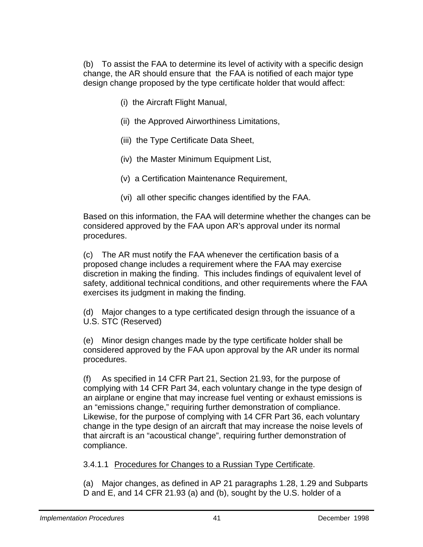(b) To assist the FAA to determine its level of activity with a specific design change, the AR should ensure that the FAA is notified of each major type design change proposed by the type certificate holder that would affect:

- (i) the Aircraft Flight Manual,
- (ii) the Approved Airworthiness Limitations,
- (iii) the Type Certificate Data Sheet,
- (iv) the Master Minimum Equipment List,
- (v) a Certification Maintenance Requirement,
- (vi) all other specific changes identified by the FAA.

Based on this information, the FAA will determine whether the changes can be considered approved by the FAA upon AR's approval under its normal procedures.

(c) The AR must notify the FAA whenever the certification basis of a proposed change includes a requirement where the FAA may exercise discretion in making the finding. This includes findings of equivalent level of safety, additional technical conditions, and other requirements where the FAA exercises its judgment in making the finding.

(d) Major changes to a type certificated design through the issuance of a U.S. STC (Reserved)

(e) Minor design changes made by the type certificate holder shall be considered approved by the FAA upon approval by the AR under its normal procedures.

(f) As specified in 14 CFR Part 21, Section 21.93, for the purpose of complying with 14 CFR Part 34, each voluntary change in the type design of an airplane or engine that may increase fuel venting or exhaust emissions is an "emissions change," requiring further demonstration of compliance. Likewise, for the purpose of complying with 14 CFR Part 36, each voluntary change in the type design of an aircraft that may increase the noise levels of that aircraft is an "acoustical change", requiring further demonstration of compliance.

3.4.1.1 Procedures for Changes to a Russian Type Certificate.

(a) Major changes, as defined in AP 21 paragraphs 1.28, 1.29 and Subparts D and E, and 14 CFR 21.93 (a) and (b), sought by the U.S. holder of a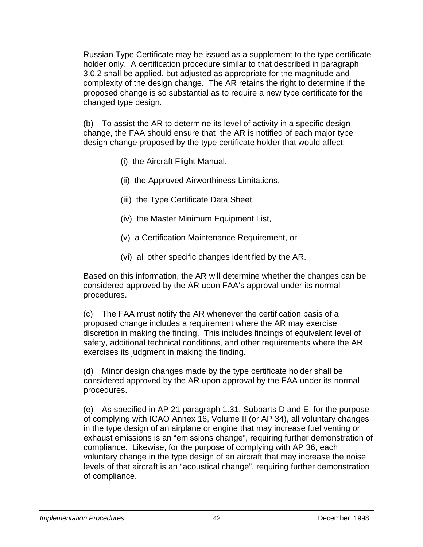Russian Type Certificate may be issued as a supplement to the type certificate holder only. A certification procedure similar to that described in paragraph 3.0.2 shall be applied, but adjusted as appropriate for the magnitude and complexity of the design change. The AR retains the right to determine if the proposed change is so substantial as to require a new type certificate for the changed type design.

(b) To assist the AR to determine its level of activity in a specific design change, the FAA should ensure that the AR is notified of each major type design change proposed by the type certificate holder that would affect:

- (i) the Aircraft Flight Manual,
- (ii) the Approved Airworthiness Limitations,
- (iii) the Type Certificate Data Sheet,
- (iv) the Master Minimum Equipment List,
- (v) a Certification Maintenance Requirement, or
- (vi) all other specific changes identified by the AR.

Based on this information, the AR will determine whether the changes can be considered approved by the AR upon FAA's approval under its normal procedures.

(c) The FAA must notify the AR whenever the certification basis of a proposed change includes a requirement where the AR may exercise discretion in making the finding. This includes findings of equivalent level of safety, additional technical conditions, and other requirements where the AR exercises its judgment in making the finding.

(d) Minor design changes made by the type certificate holder shall be considered approved by the AR upon approval by the FAA under its normal procedures.

(e) As specified in AP 21 paragraph 1.31, Subparts D and E, for the purpose of complying with ICAO Annex 16, Volume II (or AP 34), all voluntary changes in the type design of an airplane or engine that may increase fuel venting or exhaust emissions is an "emissions change", requiring further demonstration of compliance. Likewise, for the purpose of complying with AP 36, each voluntary change in the type design of an aircraft that may increase the noise levels of that aircraft is an "acoustical change", requiring further demonstration of compliance.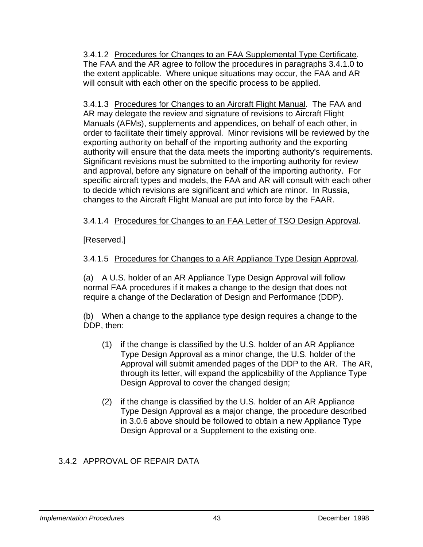3.4.1.2 Procedures for Changes to an FAA Supplemental Type Certificate. The FAA and the AR agree to follow the procedures in paragraphs 3.4.1.0 to the extent applicable. Where unique situations may occur, the FAA and AR will consult with each other on the specific process to be applied.

3.4.1.3 Procedures for Changes to an Aircraft Flight Manual. The FAA and AR may delegate the review and signature of revisions to Aircraft Flight Manuals (AFMs), supplements and appendices, on behalf of each other, in order to facilitate their timely approval. Minor revisions will be reviewed by the exporting authority on behalf of the importing authority and the exporting authority will ensure that the data meets the importing authority's requirements. Significant revisions must be submitted to the importing authority for review and approval, before any signature on behalf of the importing authority. For specific aircraft types and models, the FAA and AR will consult with each other to decide which revisions are significant and which are minor. In Russia, changes to the Aircraft Flight Manual are put into force by the FAAR.

#### 3.4.1.4 Procedures for Changes to an FAA Letter of TSO Design Approval.

[Reserved.]

3.4.1.5 Procedures for Changes to a AR Appliance Type Design Approval.

(a) A U.S. holder of an AR Appliance Type Design Approval will follow normal FAA procedures if it makes a change to the design that does not require a change of the Declaration of Design and Performance (DDP).

(b) When a change to the appliance type design requires a change to the DDP, then:

- (1) if the change is classified by the U.S. holder of an AR Appliance Type Design Approval as a minor change, the U.S. holder of the Approval will submit amended pages of the DDP to the AR. The AR, through its letter, will expand the applicability of the Appliance Type Design Approval to cover the changed design;
- (2) if the change is classified by the U.S. holder of an AR Appliance Type Design Approval as a major change, the procedure described in 3.0.6 above should be followed to obtain a new Appliance Type Design Approval or a Supplement to the existing one.

#### 3.4.2 APPROVAL OF REPAIR DATA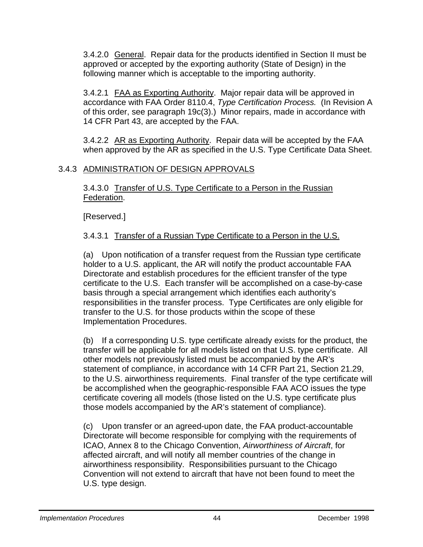3.4.2.0 General. Repair data for the products identified in Section II must be approved or accepted by the exporting authority (State of Design) in the following manner which is acceptable to the importing authority.

3.4.2.1 FAA as Exporting Authority. Major repair data will be approved in accordance with FAA Order 8110.4, *Type Certification Process.* (In Revision A of this order, see paragraph 19c(3).) Minor repairs, made in accordance with 14 CFR Part 43, are accepted by the FAA.

3.4.2.2 AR as Exporting Authority. Repair data will be accepted by the FAA when approved by the AR as specified in the U.S. Type Certificate Data Sheet.

#### 3.4.3 ADMINISTRATION OF DESIGN APPROVALS

3.4.3.0 Transfer of U.S. Type Certificate to a Person in the Russian Federation.

[Reserved.]

3.4.3.1 Transfer of a Russian Type Certificate to a Person in the U.S.

(a) Upon notification of a transfer request from the Russian type certificate holder to a U.S. applicant, the AR will notify the product accountable FAA Directorate and establish procedures for the efficient transfer of the type certificate to the U.S. Each transfer will be accomplished on a case-by-case basis through a special arrangement which identifies each authority's responsibilities in the transfer process. Type Certificates are only eligible for transfer to the U.S. for those products within the scope of these Implementation Procedures.

(b) If a corresponding U.S. type certificate already exists for the product, the transfer will be applicable for all models listed on that U.S. type certificate. All other models not previously listed must be accompanied by the AR's statement of compliance, in accordance with 14 CFR Part 21, Section 21.29, to the U.S. airworthiness requirements. Final transfer of the type certificate will be accomplished when the geographic-responsible FAA ACO issues the type certificate covering all models (those listed on the U.S. type certificate plus those models accompanied by the AR's statement of compliance).

(c) Upon transfer or an agreed-upon date, the FAA product-accountable Directorate will become responsible for complying with the requirements of ICAO, Annex 8 to the Chicago Convention, *Airworthiness of Aircraft*, for affected aircraft, and will notify all member countries of the change in airworthiness responsibility. Responsibilities pursuant to the Chicago Convention will not extend to aircraft that have not been found to meet the U.S. type design.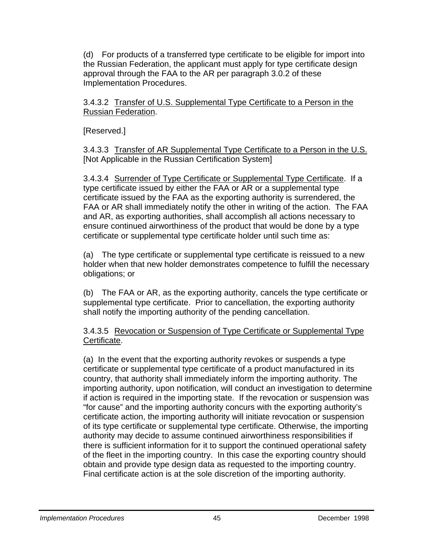(d) For products of a transferred type certificate to be eligible for import into the Russian Federation, the applicant must apply for type certificate design approval through the FAA to the AR per paragraph 3.0.2 of these Implementation Procedures.

3.4.3.2 Transfer of U.S. Supplemental Type Certificate to a Person in the Russian Federation.

[Reserved.]

3.4.3.3 Transfer of AR Supplemental Type Certificate to a Person in the U.S. [Not Applicable in the Russian Certification System]

3.4.3.4 Surrender of Type Certificate or Supplemental Type Certificate. If a type certificate issued by either the FAA or AR or a supplemental type certificate issued by the FAA as the exporting authority is surrendered, the FAA or AR shall immediately notify the other in writing of the action. The FAA and AR, as exporting authorities, shall accomplish all actions necessary to ensure continued airworthiness of the product that would be done by a type certificate or supplemental type certificate holder until such time as:

(a) The type certificate or supplemental type certificate is reissued to a new holder when that new holder demonstrates competence to fulfill the necessary obligations; or

(b) The FAA or AR, as the exporting authority, cancels the type certificate or supplemental type certificate. Prior to cancellation, the exporting authority shall notify the importing authority of the pending cancellation.

3.4.3.5 Revocation or Suspension of Type Certificate or Supplemental Type Certificate.

(a) In the event that the exporting authority revokes or suspends a type certificate or supplemental type certificate of a product manufactured in its country, that authority shall immediately inform the importing authority. The importing authority, upon notification, will conduct an investigation to determine if action is required in the importing state. If the revocation or suspension was "for cause" and the importing authority concurs with the exporting authority's certificate action, the importing authority will initiate revocation or suspension of its type certificate or supplemental type certificate. Otherwise, the importing authority may decide to assume continued airworthiness responsibilities if there is sufficient information for it to support the continued operational safety of the fleet in the importing country. In this case the exporting country should obtain and provide type design data as requested to the importing country. Final certificate action is at the sole discretion of the importing authority.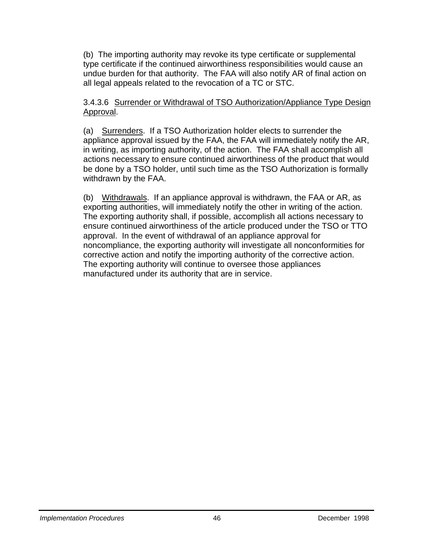(b) The importing authority may revoke its type certificate or supplemental type certificate if the continued airworthiness responsibilities would cause an undue burden for that authority. The FAA will also notify AR of final action on all legal appeals related to the revocation of a TC or STC.

#### 3.4.3.6 Surrender or Withdrawal of TSO Authorization/Appliance Type Design Approval.

(a) Surrenders. If a TSO Authorization holder elects to surrender the appliance approval issued by the FAA, the FAA will immediately notify the AR, in writing, as importing authority, of the action. The FAA shall accomplish all actions necessary to ensure continued airworthiness of the product that would be done by a TSO holder, until such time as the TSO Authorization is formally withdrawn by the FAA.

 (b) Withdrawals. If an appliance approval is withdrawn, the FAA or AR, as exporting authorities, will immediately notify the other in writing of the action. The exporting authority shall, if possible, accomplish all actions necessary to ensure continued airworthiness of the article produced under the TSO or TTO approval. In the event of withdrawal of an appliance approval for noncompliance, the exporting authority will investigate all nonconformities for corrective action and notify the importing authority of the corrective action. The exporting authority will continue to oversee those appliances manufactured under its authority that are in service.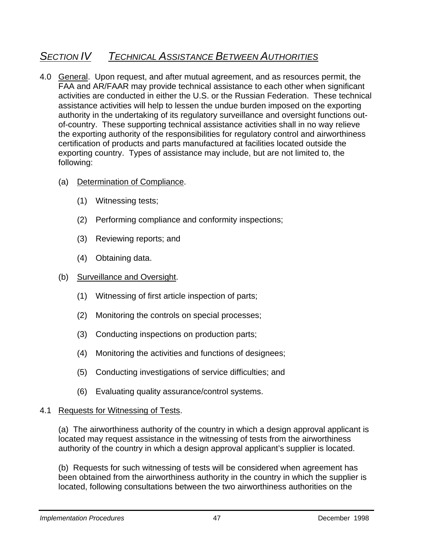### *SECTION IV TECHNICAL ASSISTANCE BETWEEN AUTHORITIES*

- 4.0 General. Upon request, and after mutual agreement, and as resources permit, the FAA and AR/FAAR may provide technical assistance to each other when significant activities are conducted in either the U.S. or the Russian Federation. These technical assistance activities will help to lessen the undue burden imposed on the exporting authority in the undertaking of its regulatory surveillance and oversight functions outof-country. These supporting technical assistance activities shall in no way relieve the exporting authority of the responsibilities for regulatory control and airworthiness certification of products and parts manufactured at facilities located outside the exporting country. Types of assistance may include, but are not limited to, the following:
	- (a) Determination of Compliance.
		- (1) Witnessing tests;
		- (2) Performing compliance and conformity inspections;
		- (3) Reviewing reports; and
		- (4) Obtaining data.

#### (b) Surveillance and Oversight.

- (1) Witnessing of first article inspection of parts;
- (2) Monitoring the controls on special processes;
- (3) Conducting inspections on production parts;
- (4) Monitoring the activities and functions of designees;
- (5) Conducting investigations of service difficulties; and
- (6) Evaluating quality assurance/control systems.

#### 4.1 Requests for Witnessing of Tests.

(a) The airworthiness authority of the country in which a design approval applicant is located may request assistance in the witnessing of tests from the airworthiness authority of the country in which a design approval applicant's supplier is located.

(b) Requests for such witnessing of tests will be considered when agreement has been obtained from the airworthiness authority in the country in which the supplier is located, following consultations between the two airworthiness authorities on the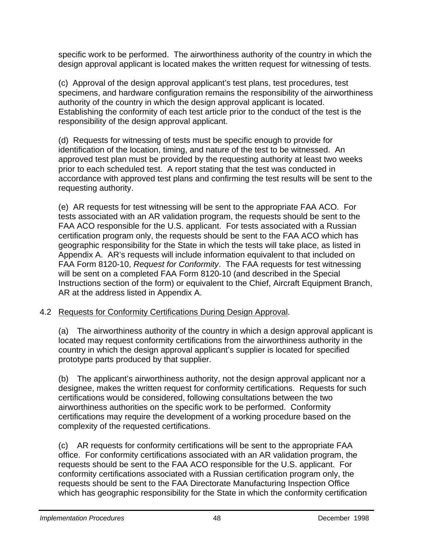specific work to be performed. The airworthiness authority of the country in which the design approval applicant is located makes the written request for witnessing of tests.

(c) Approval of the design approval applicant's test plans, test procedures, test specimens, and hardware configuration remains the responsibility of the airworthiness authority of the country in which the design approval applicant is located. Establishing the conformity of each test article prior to the conduct of the test is the responsibility of the design approval applicant.

(d) Requests for witnessing of tests must be specific enough to provide for identification of the location, timing, and nature of the test to be witnessed. An approved test plan must be provided by the requesting authority at least two weeks prior to each scheduled test. A report stating that the test was conducted in accordance with approved test plans and confirming the test results will be sent to the requesting authority.

(e) AR requests for test witnessing will be sent to the appropriate FAA ACO. For tests associated with an AR validation program, the requests should be sent to the FAA ACO responsible for the U.S. applicant. For tests associated with a Russian certification program only, the requests should be sent to the FAA ACO which has geographic responsibility for the State in which the tests will take place, as listed in Appendix A. AR's requests will include information equivalent to that included on FAA Form 8120-10, *Request for Conformity*. The FAA requests for test witnessing will be sent on a completed FAA Form 8120-10 (and described in the Special Instructions section of the form) or equivalent to the Chief, Aircraft Equipment Branch, AR at the address listed in Appendix A.

#### 4.2 Requests for Conformity Certifications During Design Approval.

(a) The airworthiness authority of the country in which a design approval applicant is located may request conformity certifications from the airworthiness authority in the country in which the design approval applicant's supplier is located for specified prototype parts produced by that supplier.

(b) The applicant's airworthiness authority, not the design approval applicant nor a designee, makes the written request for conformity certifications. Requests for such certifications would be considered, following consultations between the two airworthiness authorities on the specific work to be performed. Conformity certifications may require the development of a working procedure based on the complexity of the requested certifications.

(c) AR requests for conformity certifications will be sent to the appropriate FAA office. For conformity certifications associated with an AR validation program, the requests should be sent to the FAA ACO responsible for the U.S. applicant. For conformity certifications associated with a Russian certification program only, the requests should be sent to the FAA Directorate Manufacturing Inspection Office which has geographic responsibility for the State in which the conformity certification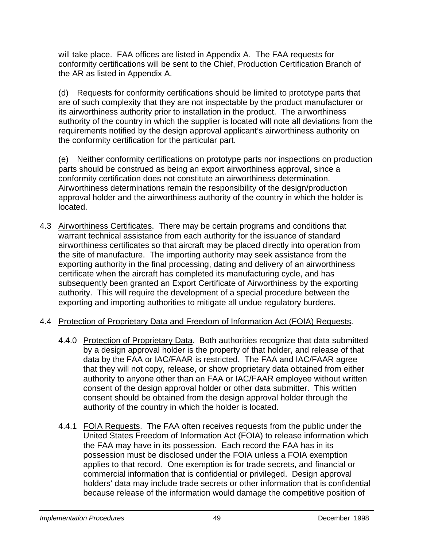will take place. FAA offices are listed in Appendix A. The FAA requests for conformity certifications will be sent to the Chief, Production Certification Branch of the AR as listed in Appendix A.

(d) Requests for conformity certifications should be limited to prototype parts that are of such complexity that they are not inspectable by the product manufacturer or its airworthiness authority prior to installation in the product. The airworthiness authority of the country in which the supplier is located will note all deviations from the requirements notified by the design approval applicant's airworthiness authority on the conformity certification for the particular part.

(e) Neither conformity certifications on prototype parts nor inspections on production parts should be construed as being an export airworthiness approval, since a conformity certification does not constitute an airworthiness determination. Airworthiness determinations remain the responsibility of the design/production approval holder and the airworthiness authority of the country in which the holder is located.

- 4.3 Airworthiness Certificates. There may be certain programs and conditions that warrant technical assistance from each authority for the issuance of standard airworthiness certificates so that aircraft may be placed directly into operation from the site of manufacture. The importing authority may seek assistance from the exporting authority in the final processing, dating and delivery of an airworthiness certificate when the aircraft has completed its manufacturing cycle, and has subsequently been granted an Export Certificate of Airworthiness by the exporting authority. This will require the development of a special procedure between the exporting and importing authorities to mitigate all undue regulatory burdens.
- 4.4 Protection of Proprietary Data and Freedom of Information Act (FOIA) Requests.
	- 4.4.0 Protection of Proprietary Data. Both authorities recognize that data submitted by a design approval holder is the property of that holder, and release of that data by the FAA or IAC/FAAR is restricted. The FAA and IAC/FAAR agree that they will not copy, release, or show proprietary data obtained from either authority to anyone other than an FAA or IAC/FAAR employee without written consent of the design approval holder or other data submitter. This written consent should be obtained from the design approval holder through the authority of the country in which the holder is located.
	- 4.4.1 FOIA Requests. The FAA often receives requests from the public under the United States Freedom of Information Act (FOIA) to release information which the FAA may have in its possession. Each record the FAA has in its possession must be disclosed under the FOIA unless a FOIA exemption applies to that record. One exemption is for trade secrets, and financial or commercial information that is confidential or privileged. Design approval holders' data may include trade secrets or other information that is confidential because release of the information would damage the competitive position of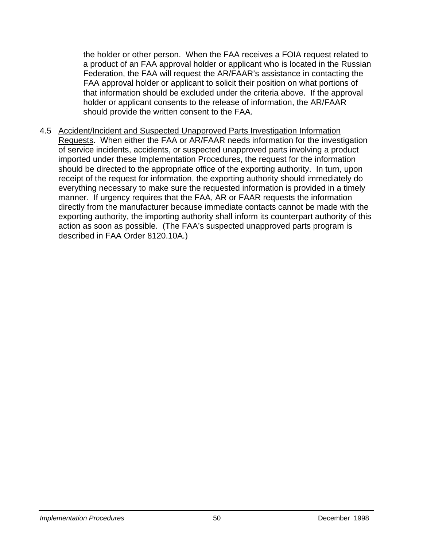the holder or other person. When the FAA receives a FOIA request related to a product of an FAA approval holder or applicant who is located in the Russian Federation, the FAA will request the AR/FAAR's assistance in contacting the FAA approval holder or applicant to solicit their position on what portions of that information should be excluded under the criteria above. If the approval holder or applicant consents to the release of information, the AR/FAAR should provide the written consent to the FAA.

4.5 Accident/Incident and Suspected Unapproved Parts Investigation Information Requests. When either the FAA or AR/FAAR needs information for the investigation of service incidents, accidents, or suspected unapproved parts involving a product imported under these Implementation Procedures, the request for the information should be directed to the appropriate office of the exporting authority. In turn, upon receipt of the request for information, the exporting authority should immediately do everything necessary to make sure the requested information is provided in a timely manner. If urgency requires that the FAA, AR or FAAR requests the information directly from the manufacturer because immediate contacts cannot be made with the exporting authority, the importing authority shall inform its counterpart authority of this action as soon as possible. (The FAA's suspected unapproved parts program is described in FAA Order 8120.10A.)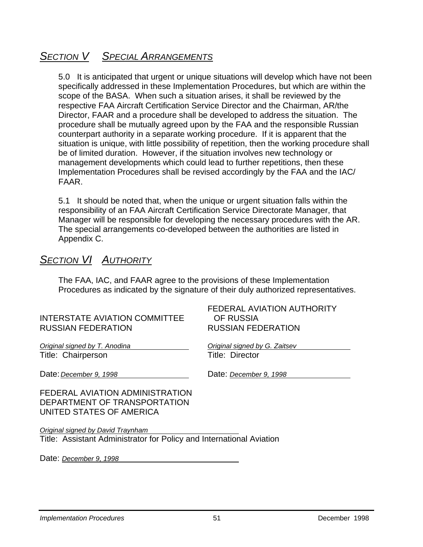### *SECTION V SPECIAL ARRANGEMENTS*

5.0 It is anticipated that urgent or unique situations will develop which have not been specifically addressed in these Implementation Procedures, but which are within the scope of the BASA. When such a situation arises, it shall be reviewed by the respective FAA Aircraft Certification Service Director and the Chairman, AR/the Director, FAAR and a procedure shall be developed to address the situation. The procedure shall be mutually agreed upon by the FAA and the responsible Russian counterpart authority in a separate working procedure. If it is apparent that the situation is unique, with little possibility of repetition, then the working procedure shall be of limited duration. However, if the situation involves new technology or management developments which could lead to further repetitions, then these Implementation Procedures shall be revised accordingly by the FAA and the IAC/ FAAR.

5.1 It should be noted that, when the unique or urgent situation falls within the responsibility of an FAA Aircraft Certification Service Directorate Manager, that Manager will be responsible for developing the necessary procedures with the AR. The special arrangements co-developed between the authorities are listed in Appendix C.

### *SECTION VI AUTHORITY*

The FAA, IAC, and FAAR agree to the provisions of these Implementation Procedures as indicated by the signature of their duly authorized representatives.

#### INTERSTATE AVIATION COMMITTEE OF RUSSIA RUSSIAN FEDERATION RUSSIAN FEDERATION

*Original signed by T. Anodina Original signed by G. Zaitsev* Title: Chairperson Title: Director

FEDERAL AVIATION AUTHORITY

Date: *December 9, 1998* Date: *December 9, 1998*

FEDERAL AVIATION ADMINISTRATION DEPARTMENT OF TRANSPORTATION UNITED STATES OF AMERICA

*Original signed by David Traynham* Title: Assistant Administrator for Policy and International Aviation

Date: *December 9, 1998*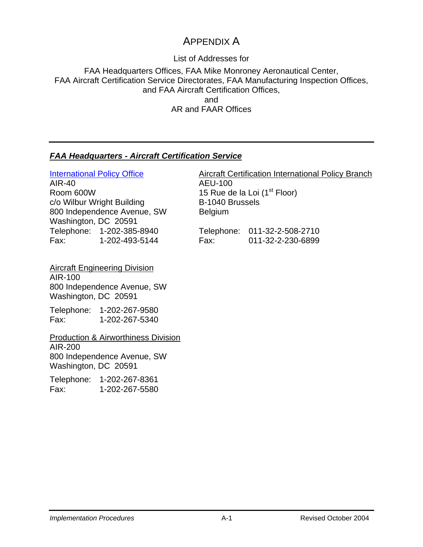### APPENDIX A

List of Addresses for

FAA Headquarters Offices, FAA Mike Monroney Aeronautical Center, FAA Aircraft Certification Service Directorates, FAA Manufacturing Inspection Offices, and FAA Aircraft Certification Offices, and AR and FAAR Offices

#### *[FAA Headquarters - Aircraft Certification Service](http://www.faa.gov/certification/aircraft/)*

AIR-40 AEU-100 Room 600W<br>
c/o Wilbur Wright Building<br>
B-1040 Brussels c/o Wilbur Wright Building 800 Independence Avenue, SW Belgium Washington, DC 20591 Telephone: 1-202-385-8940 Fax: 1-202-493-5144

[International Policy Office](http://www.faa.gov/certification/aircraft/bilateral_agreements.htm) Aircraft Certification International Policy Branch

|      | Telephone: 011-32-2-508-2710 |
|------|------------------------------|
| Fax: | 011-32-2-230-6899            |

Aircraft Engineering Division AIR-100 800 Independence Avenue, SW Washington, DC 20591

Telephone: 1-202-267-9580 Fax: 1-202-267-5340

Production & Airworthiness Division AIR-200 800 Independence Avenue, SW Washington, DC 20591

Telephone: 1-202-267-8361 Fax: 1-202-267-5580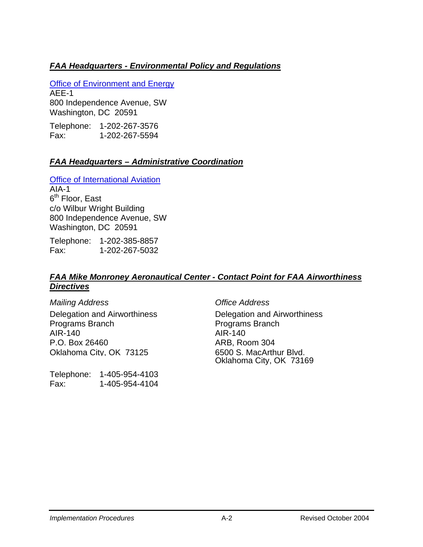#### *FAA Headquarters - Environmental Policy and Regulations*

[Office of Environment and Energy](http://www.aee.faa.gov/) AEE-1 800 Independence Avenue, SW Washington, DC 20591

Telephone: 1-202-267-3576 Fax: 1-202-267-5594

#### *FAA Headquarters – Administrative Coordination*

[Office of International Aviation](http://www.intl.faa.gov/) AIA-1 6<sup>th</sup> Floor, East c/o Wilbur Wright Building 800 Independence Avenue, SW Washington, DC 20591

Telephone: 1-202-385-8857 Fax: 1-202-267-5032

#### *FAA Mike Monroney Aeronautical Center - Contact Point for FAA Airworthiness Directives*

*Mailing Address Office Address*  Delegation and Airworthiness Programs Branch AIR-140 AIR-140 P.O. Box 26460 ARB, Room 304 Oklahoma City, OK 73125 6500 S. MacArthur Blvd.

Telephone: 1-405-954-4103 Fax: 1-405-954-4104

Delegation and Airworthiness Programs Branch Oklahoma City, OK 73169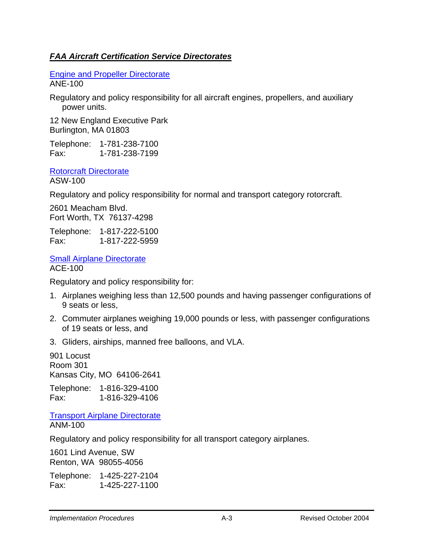#### *FAA Aircraft Certification Service Directorates*

[Engine and Propeller Directorate](http://www.faa.gov/certification/aircraft/engineindex.htm) ANE-100

Regulatory and policy responsibility for all aircraft engines, propellers, and auxiliary power units.

12 New England Executive Park Burlington, MA 01803

Telephone: 1-781-238-7100 Fax: 1-781-238-7199

[Rotorcraft Directorate](http://www.faa.gov/certification/aircraft/Rot.htm) ASW-100

Regulatory and policy responsibility for normal and transport category rotorcraft.

2601 Meacham Blvd. Fort Worth, TX 76137-4298

Telephone: 1-817-222-5100 Fax: 1-817-222-5959

**[Small Airplane Directorate](http://www.faa.gov/certification/aircraft/aceHome.htm)** ACE-100

Regulatory and policy responsibility for:

- 1. Airplanes weighing less than 12,500 pounds and having passenger configurations of 9 seats or less,
- 2. Commuter airplanes weighing 19,000 pounds or less, with passenger configurations of 19 seats or less, and
- 3. Gliders, airships, manned free balloons, and VLA.

901 Locust Room 301 Kansas City, MO 64106-2641

Telephone: 1-816-329-4100 Fax: 1-816-329-4106

[Transport Airplane Directorate](http://www.faa.gov/certification/aircraft/Transport_Home_Page.htm) ANM-100

Regulatory and policy responsibility for all transport category airplanes.

1601 Lind Avenue, SW Renton, WA 98055-4056

Telephone: 1-425-227-2104 Fax: 1-425-227-1100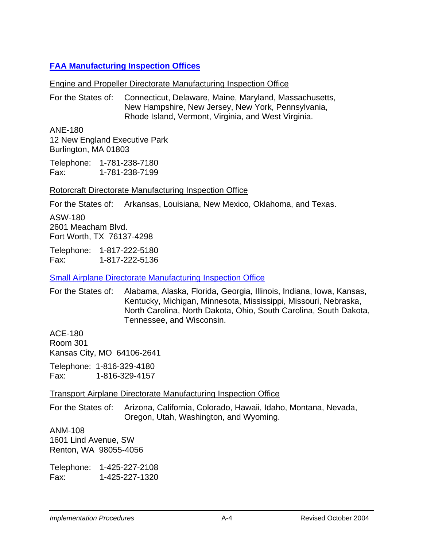#### **[FAA Manufacturing Inspection Offices](http://www.faa.gov/certification/aircraft/map.htm)**

#### Engine and Propeller Directorate Manufacturing Inspection Office

For the States of: Connecticut, Delaware, Maine, Maryland, Massachusetts, New Hampshire, New Jersey, New York, Pennsylvania, Rhode Island, Vermont, Virginia, and West Virginia.

ANE-180 12 New England Executive Park Burlington, MA 01803

Telephone: 1-781-238-7180 Fax: 1-781-238-7199

#### Rotorcraft Directorate Manufacturing Inspection Office

For the States of: Arkansas, Louisiana, New Mexico, Oklahoma, and Texas.

ASW-180 2601 Meacham Blvd. Fort Worth, TX 76137-4298

Telephone: 1-817-222-5180 Fax: 1-817-222-5136

[Small Airplane Directorate Manufacturing Inspection Office](http://www2.faa.gov/certification/aircraft/aceHome.htm)

For the States of: Alabama, Alaska, Florida, Georgia, Illinois, Indiana, Iowa, Kansas, Kentucky, Michigan, Minnesota, Mississippi, Missouri, Nebraska, North Carolina, North Dakota, Ohio, South Carolina, South Dakota, Tennessee, and Wisconsin.

ACE-180 Room 301 Kansas City, MO 64106-2641

Telephone: 1-816-329-4180 Fax: 1-816-329-4157

#### Transport Airplane Directorate Manufacturing Inspection Office

For the States of: Arizona, California, Colorado, Hawaii, Idaho, Montana, Nevada, Oregon, Utah, Washington, and Wyoming.

ANM-108 1601 Lind Avenue, SW Renton, WA 98055-4056

Telephone: 1-425-227-2108 Fax: 1-425-227-1320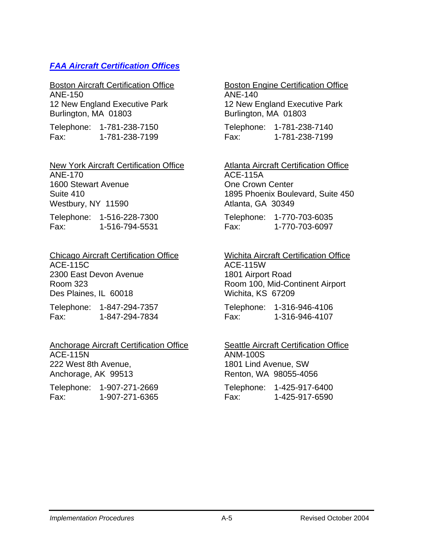#### *[FAA Aircraft Certification Offices](http://www.faa.gov/certification/aircraft/acochart.htm)*

Boston Aircraft Certification Office ANE-150

12 New England Executive Park Burlington, MA 01803

Telephone: 1-781-238-7150 Fax: 1-781-238-7199

#### New York Aircraft Certification Office ANE-170 1600 Stewart Avenue Suite 410

Westbury, NY 11590

Telephone: 1-516-228-7300 Fax: 1-516-794-5531

Chicago Aircraft Certification Office ACE-115C 2300 East Devon Avenue Room 323 Des Plaines, IL 60018

Telephone: 1-847-294-7357 Fax: 1-847-294-7834

#### Anchorage Aircraft Certification Office ACE-115N 222 West 8th Avenue, Anchorage, AK 99513

Telephone: 1-907-271-2669 Fax: 1-907-271-6365

#### Boston Engine Certification Office

ANE-140 12 New England Executive Park Burlington, MA 01803

Telephone: 1-781-238-7140 Fax: 1-781-238-7199

#### Atlanta Aircraft Certification Office ACE-115A One Crown Center 1895 Phoenix Boulevard, Suite 450 Atlanta, GA 30349

Telephone: 1-770-703-6035 Fax: 1-770-703-6097

#### Wichita Aircraft Certification Office ACE-115W 1801 Airport Road Room 100, Mid-Continent Airport Wichita, KS 67209

Telephone: 1-316-946-4106 Fax: 1-316-946-4107

#### **Seattle Aircraft Certification Office** ANM-100S 1801 Lind Avenue, SW Renton, WA 98055-4056

Telephone: 1-425-917-6400 Fax: 1-425-917-6590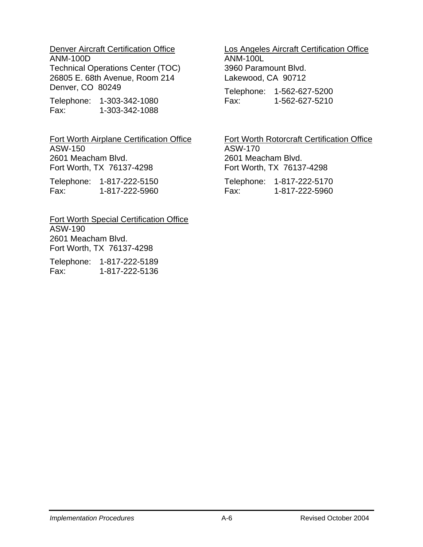#### Denver Aircraft Certification Office ANM-100D

Technical Operations Center (TOC) 26805 E. 68th Avenue, Room 214 Denver, CO 80249

Telephone: 1-303-342-1080 Fax: 1-303-342-1088

Fort Worth Airplane Certification Office ASW-150 2601 Meacham Blvd. Fort Worth, TX 76137-4298

Telephone: 1-817-222-5150 Fax: 1-817-222-5960

Fort Worth Special Certification Office ASW-190 2601 Meacham Blvd. Fort Worth, TX 76137-4298

Telephone: 1-817-222-5189 Fax: 1-817-222-5136

### Los Angeles Aircraft Certification Office

ANM-100L 3960 Paramount Blvd. Lakewood, CA 90712

Telephone: 1-562-627-5200 Fax: 1-562-627-5210

#### Fort Worth Rotorcraft Certification Office ASW-170 2601 Meacham Blvd. Fort Worth, TX 76137-4298

Telephone: 1-817-222-5170 Fax: 1-817-222-5960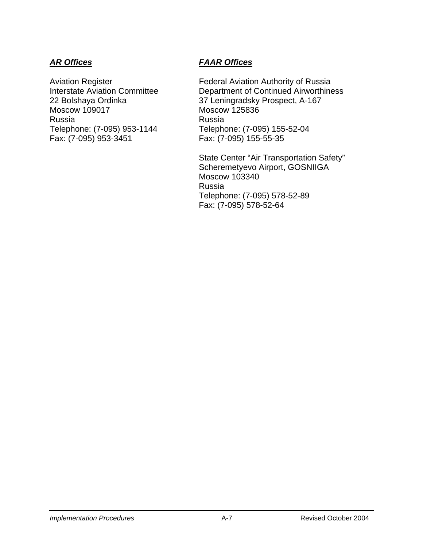Moscow 109017 Moscow 125836 Russia Russia<br>Telephone: (7-095) 953-1144 Telepho Telephone: (7-095) 953-1144 Telephone: (7-095) 155-52-04<br>Fax: (7-095) 953-3451 Fax: (7-095) 155-55-35

### *AR Offices FAAR Offices*

Aviation Register **Federal Aviation Authority of Russia** Interstate Aviation Committee Department of Continued Airworthiness 22 Bolshaya Ordinka 37 Leningradsky Prospect, A-167 Fax: (7-095) 155-55-35

> State Center "Air Transportation Safety" Scheremetyevo Airport, GOSNIIGA Moscow 103340 Russia Telephone: (7-095) 578-52-89 Fax: (7-095) 578-52-64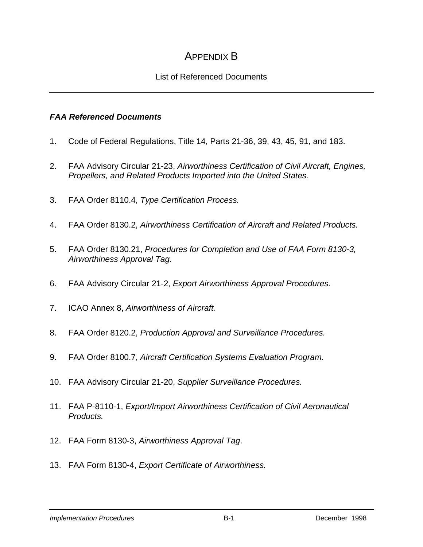### APPENDIX B

#### List of Referenced Documents

#### *FAA Referenced Documents*

- 1. Code of Federal Regulations, Title 14, Parts 21-36, 39, 43, 45, 91, and 183.
- 2. FAA Advisory Circular 21-23, *Airworthiness Certification of Civil Aircraft, Engines, Propellers, and Related Products Imported into the United States.*
- 3. FAA Order 8110.4, *Type Certification Process.*
- 4. FAA Order 8130.2, *Airworthiness Certification of Aircraft and Related Products.*
- 5. FAA Order 8130.21, *Procedures for Completion and Use of FAA Form 8130-3, Airworthiness Approval Tag.*
- 6. FAA Advisory Circular 21-2, *Export Airworthiness Approval Procedures.*
- 7. ICAO Annex 8, *Airworthiness of Aircraft.*
- 8. FAA Order 8120.2, *Production Approval and Surveillance Procedures.*
- 9. FAA Order 8100.7, *Aircraft Certification Systems Evaluation Program.*
- 10. FAA Advisory Circular 21-20, *Supplier Surveillance Procedures.*
- 11. FAA P-8110-1, *Export/Import Airworthiness Certification of Civil Aeronautical Products.*
- 12. FAA Form 8130-3, *Airworthiness Approval Tag*.
- 13. FAA Form 8130-4, *Export Certificate of Airworthiness.*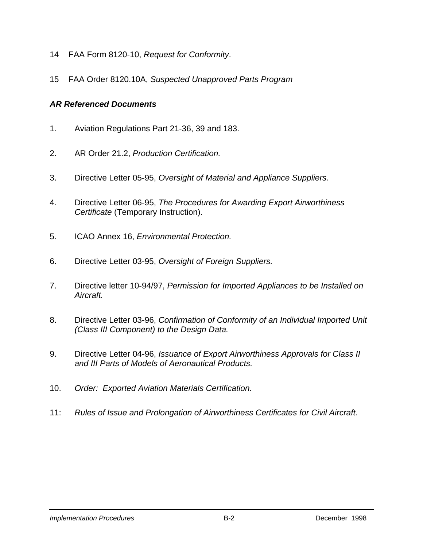- 14 FAA Form 8120-10, *Request for Conformity*.
- 15 FAA Order 8120.10A, *Suspected Unapproved Parts Program*

#### *AR Referenced Documents*

- 1. Aviation Regulations Part 21-36, 39 and 183.
- 2. AR Order 21.2, *Production Certification.*
- 3. Directive Letter 05-95, *Oversight of Material and Appliance Suppliers.*
- 4. Directive Letter 06-95, *The Procedures for Awarding Export Airworthiness Certificate* (Temporary Instruction).
- 5. ICAO Annex 16, *Environmental Protection.*
- 6. Directive Letter 03-95, *Oversight of Foreign Suppliers.*
- 7. Directive letter 10-94/97, *Permission for Imported Appliances to be Installed on Aircraft.*
- 8. Directive Letter 03-96, *Confirmation of Conformity of an Individual Imported Unit (Class III Component) to the Design Data.*
- 9. Directive Letter 04-96, *Issuance of Export Airworthiness Approvals for Class II and III Parts of Models of Aeronautical Products.*
- 10. *Order: Exported Aviation Materials Certification.*
- 11: *Rules of Issue and Prolongation of Airworthiness Certificates for Civil Aircraft.*